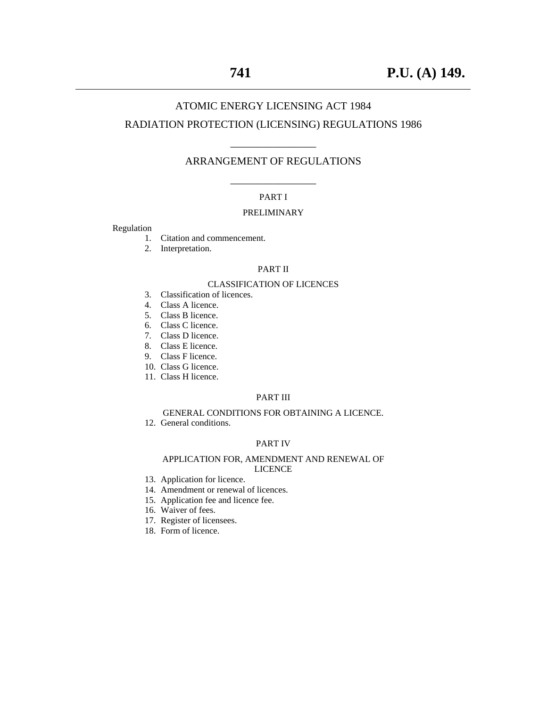## ATOMIC ENERGY LICENSING ACT 1984 RADIATION PROTECTION (LICENSING) REGULATIONS 1986

## \_\_\_\_\_\_\_\_\_\_\_\_\_\_\_\_ ARRANGEMENT OF REGULATIONS

## \_\_\_\_\_\_\_\_\_\_\_\_\_\_\_\_ PART I

#### PRELIMINARY

Regulation

- 1. Citation and commencement.
- 2. Interpretation.

#### PART II

#### CLASSIFICATION OF LICENCES

- 3. Classification of licences.
- 4. Class A licence.
- 5. Class B licence.
- 6. Class C licence.
- 7. Class D licence. 8. Class E licence.
- 9. Class F licence.
- 
- 10. Class G licence.
- 11. Class H licence.

## PART III

## GENERAL CONDITIONS FOR OBTAINING A LICENCE.

12. General conditions.

## PART IV

#### APPLICATION FOR, AMENDMENT AND RENEWAL OF LICENCE

- 13. Application for licence.
- 14. Amendment or renewal of licences.
- 15. Application fee and licence fee.
- 16. Waiver of fees.
- 17. Register of licensees.
- 18. Form of licence.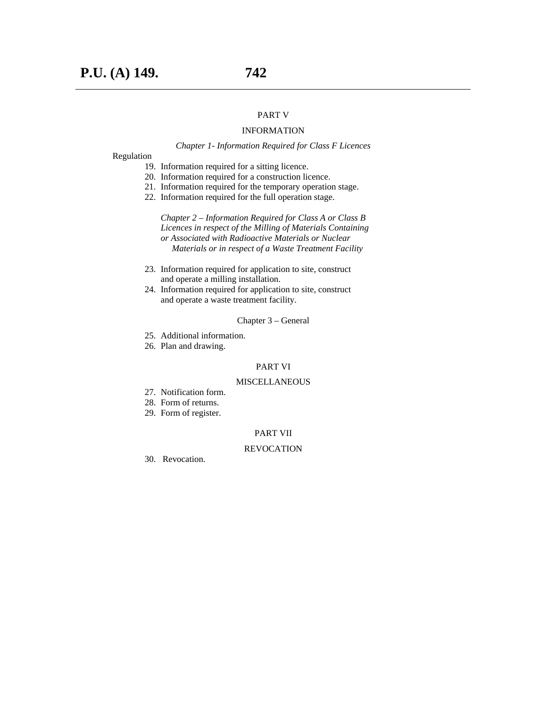#### PART V

#### INFORMATION

#### *Chapter 1- Information Required for Class F Licences*

Regulation

- 19. Information required for a sitting licence.
- 20. Information required for a construction licence.
- 21. Information required for the temporary operation stage.
- 22. Information required for the full operation stage.

*Chapter 2 – Information Required for Class A or Class B Licences in respect of the Milling of Materials Containing or Associated with Radioactive Materials or Nuclear Materials or in respect of a Waste Treatment Facility* 

- 23. Information required for application to site, construct and operate a milling installation.
- 24. Information required for application to site, construct and operate a waste treatment facility.

#### Chapter 3 – General

- 25. Additional information.
- 26. Plan and drawing.

#### PART VI

#### MISCELLANEOUS

- 27. Notification form.
- 28. Form of returns.
- 29. Form of register.

#### PART VII

#### REVOCATION

30. Revocation.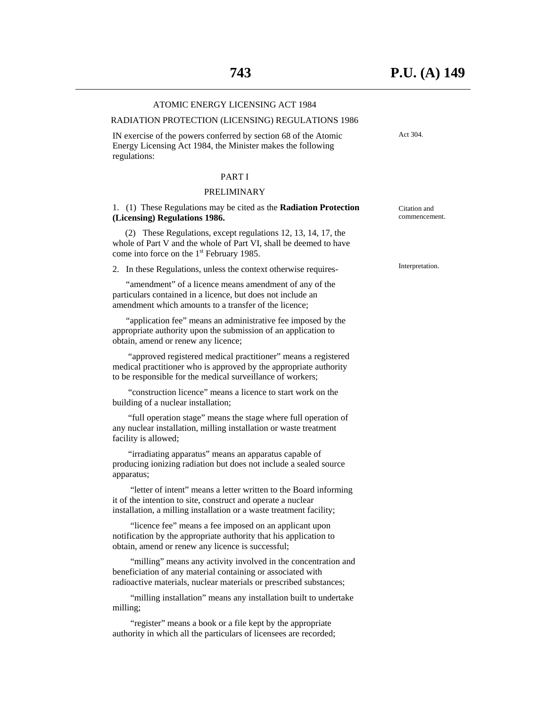## ATOMIC ENERGY LICENSING ACT 1984 RADIATION PROTECTION (LICENSING) REGULATIONS 1986 IN exercise of the powers conferred by section 68 of the Atomic Energy Licensing Act 1984, the Minister makes the following regulations: PART I PRELIMINARY 1. (1) These Regulations may be cited as the **Radiation Protection (Licensing) Regulations 1986.**  (2) These Regulations, except regulations 12, 13, 14, 17, the whole of Part V and the whole of Part VI, shall be deemed to have come into force on the  $1<sup>st</sup>$  February 1985. 2. In these Regulations, unless the context otherwise requires- "amendment" of a licence means amendment of any of the particulars contained in a licence, but does not include an amendment which amounts to a transfer of the licence; "application fee" means an administrative fee imposed by the appropriate authority upon the submission of an application to obtain, amend or renew any licence; "approved registered medical practitioner" means a registered medical practitioner who is approved by the appropriate authority to be responsible for the medical surveillance of workers; "construction licence" means a licence to start work on the Act 304. Citation and Interpretation.

 "full operation stage" means the stage where full operation of any nuclear installation, milling installation or waste treatment facility is allowed;

building of a nuclear installation;

 "irradiating apparatus" means an apparatus capable of producing ionizing radiation but does not include a sealed source apparatus;

 "letter of intent" means a letter written to the Board informing it of the intention to site, construct and operate a nuclear installation, a milling installation or a waste treatment facility;

 "licence fee" means a fee imposed on an applicant upon notification by the appropriate authority that his application to obtain, amend or renew any licence is successful;

"milling" means any activity involved in the concentration and beneficiation of any material containing or associated with radioactive materials, nuclear materials or prescribed substances;

 "milling installation" means any installation built to undertake milling;

 "register" means a book or a file kept by the appropriate authority in which all the particulars of licensees are recorded; commencement.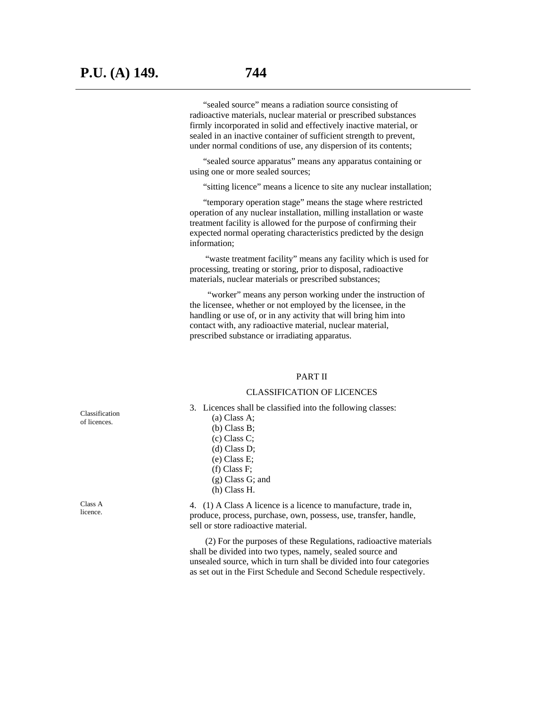"sealed source" means a radiation source consisting of radioactive materials, nuclear material or prescribed substances firmly incorporated in solid and effectively inactive material, or sealed in an inactive container of sufficient strength to prevent, under normal conditions of use, any dispersion of its contents;

 "sealed source apparatus" means any apparatus containing or using one or more sealed sources;

"sitting licence" means a licence to site any nuclear installation;

 "temporary operation stage" means the stage where restricted operation of any nuclear installation, milling installation or waste treatment facility is allowed for the purpose of confirming their expected normal operating characteristics predicted by the design information;

 "waste treatment facility" means any facility which is used for processing, treating or storing, prior to disposal, radioactive materials, nuclear materials or prescribed substances;

 "worker" means any person working under the instruction of the licensee, whether or not employed by the licensee, in the handling or use of, or in any activity that will bring him into contact with, any radioactive material, nuclear material, prescribed substance or irradiating apparatus.

#### PART II

#### CLASSIFICATION OF LICENCES

- 3. Licences shall be classified into the following classes:
	- (a) Class A; (b) Class B; (c) Class C; (d) Class D; (e) Class E; (f) Class F; (g) Class G; and (h) Class H.

 4. (1) A Class A licence is a licence to manufacture, trade in, produce, process, purchase, own, possess, use, transfer, handle, sell or store radioactive material.

 (2) For the purposes of these Regulations, radioactive materials shall be divided into two types, namely, sealed source and unsealed source, which in turn shall be divided into four categories as set out in the First Schedule and Second Schedule respectively.

Classification of licences.

Class A licence.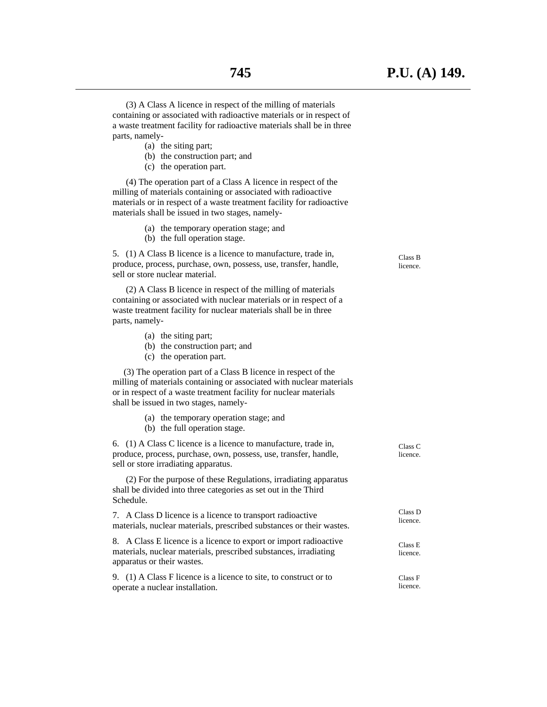(3) A Class A licence in respect of the milling of materials containing or associated with radioactive materials or in respect of a waste treatment facility for radioactive materials shall be in three parts, namely-

- (a) the siting part;
- (b) the construction part; and
- (c) the operation part.

 (4) The operation part of a Class A licence in respect of the milling of materials containing or associated with radioactive materials or in respect of a waste treatment facility for radioactive materials shall be issued in two stages, namely-

- (a) the temporary operation stage; and
- (b) the full operation stage.

 5. (1) A Class B licence is a licence to manufacture, trade in, produce, process, purchase, own, possess, use, transfer, handle, sell or store nuclear material.

 (2) A Class B licence in respect of the milling of materials containing or associated with nuclear materials or in respect of a waste treatment facility for nuclear materials shall be in three parts, namely-

- (a) the siting part;
- (b) the construction part; and
- (c) the operation part.

 (3) The operation part of a Class B licence in respect of the milling of materials containing or associated with nuclear materials or in respect of a waste treatment facility for nuclear materials shall be issued in two stages, namely-

- (a) the temporary operation stage; and
- (b) the full operation stage.

 6. (1) A Class C licence is a licence to manufacture, trade in, produce, process, purchase, own, possess, use, transfer, handle, sell or store irradiating apparatus.

 (2) For the purpose of these Regulations, irradiating apparatus shall be divided into three categories as set out in the Third Schedule.

 7. A Class D licence is a licence to transport radioactive materials, nuclear materials, prescribed substances or their wastes.

 8. A Class E licence is a licence to export or import radioactive materials, nuclear materials, prescribed substances, irradiating apparatus or their wastes.

 9. (1) A Class F licence is a licence to site, to construct or to operate a nuclear installation.

Class B licence.

Class C licence.

Class D licence.

Class E licence.

Class F licence.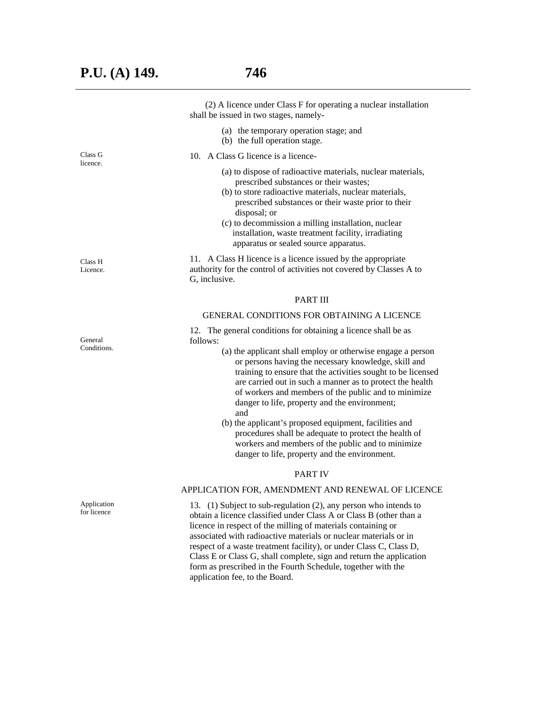|                            | (2) A licence under Class F for operating a nuclear installation<br>shall be issued in two stages, namely-                                                                                                                                                                                                                                                                                                                                                                              |
|----------------------------|-----------------------------------------------------------------------------------------------------------------------------------------------------------------------------------------------------------------------------------------------------------------------------------------------------------------------------------------------------------------------------------------------------------------------------------------------------------------------------------------|
|                            | (a) the temporary operation stage; and<br>(b) the full operation stage.                                                                                                                                                                                                                                                                                                                                                                                                                 |
| Class G<br>licence.        | 10. A Class G licence is a licence-                                                                                                                                                                                                                                                                                                                                                                                                                                                     |
|                            | (a) to dispose of radioactive materials, nuclear materials,<br>prescribed substances or their wastes;<br>(b) to store radioactive materials, nuclear materials,<br>prescribed substances or their waste prior to their<br>disposal; or<br>(c) to decommission a milling installation, nuclear<br>installation, waste treatment facility, irradiating<br>apparatus or sealed source apparatus.                                                                                           |
| Class H<br>Licence.        | 11. A Class H licence is a licence issued by the appropriate<br>authority for the control of activities not covered by Classes A to<br>G, inclusive.                                                                                                                                                                                                                                                                                                                                    |
|                            | <b>PART III</b>                                                                                                                                                                                                                                                                                                                                                                                                                                                                         |
|                            | <b>GENERAL CONDITIONS FOR OBTAINING A LICENCE</b>                                                                                                                                                                                                                                                                                                                                                                                                                                       |
| General                    | 12. The general conditions for obtaining a licence shall be as<br>follows:                                                                                                                                                                                                                                                                                                                                                                                                              |
| Conditions.                | (a) the applicant shall employ or otherwise engage a person<br>or persons having the necessary knowledge, skill and<br>training to ensure that the activities sought to be licensed<br>are carried out in such a manner as to protect the health<br>of workers and members of the public and to minimize<br>danger to life, property and the environment;                                                                                                                               |
|                            | and<br>(b) the applicant's proposed equipment, facilities and<br>procedures shall be adequate to protect the health of<br>workers and members of the public and to minimize<br>danger to life, property and the environment.                                                                                                                                                                                                                                                            |
|                            | <b>PART IV</b>                                                                                                                                                                                                                                                                                                                                                                                                                                                                          |
|                            | APPLICATION FOR, AMENDMENT AND RENEWAL OF LICENCE                                                                                                                                                                                                                                                                                                                                                                                                                                       |
| Application<br>for licence | 13. (1) Subject to sub-regulation (2), any person who intends to<br>obtain a licence classified under Class A or Class B (other than a<br>licence in respect of the milling of materials containing or<br>associated with radioactive materials or nuclear materials or in<br>respect of a waste treatment facility), or under Class C, Class D,<br>Class E or Class G, shall complete, sign and return the application<br>form as prescribed in the Fourth Schedule, together with the |

application fee, to the Board.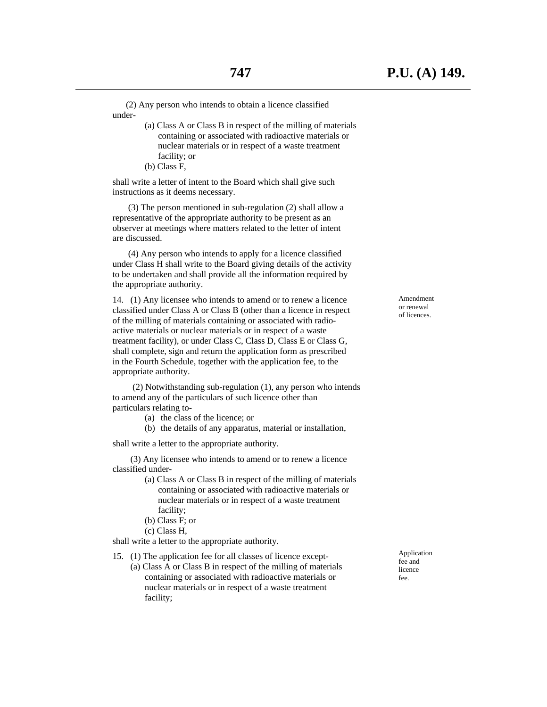(2) Any person who intends to obtain a licence classified under-

- (a) Class A or Class B in respect of the milling of materials containing or associated with radioactive materials or nuclear materials or in respect of a waste treatment facility; or
- (b) Class F,

 shall write a letter of intent to the Board which shall give such instructions as it deems necessary.

 (3) The person mentioned in sub-regulation (2) shall allow a representative of the appropriate authority to be present as an observer at meetings where matters related to the letter of intent are discussed.

 (4) Any person who intends to apply for a licence classified under Class H shall write to the Board giving details of the activity to be undertaken and shall provide all the information required by the appropriate authority.

 14. (1) Any licensee who intends to amend or to renew a licence classified under Class A or Class B (other than a licence in respect of the milling of materials containing or associated with radio active materials or nuclear materials or in respect of a waste treatment facility), or under Class C, Class D, Class E or Class G, shall complete, sign and return the application form as prescribed in the Fourth Schedule, together with the application fee, to the appropriate authority.

 (2) Notwithstanding sub-regulation (1), any person who intends to amend any of the particulars of such licence other than particulars relating to-

- (a) the class of the licence; or
- (b) the details of any apparatus, material or installation,

shall write a letter to the appropriate authority.

 (3) Any licensee who intends to amend or to renew a licence classified under-

- (a) Class A or Class B in respect of the milling of materials containing or associated with radioactive materials or nuclear materials or in respect of a waste treatment facility;
- (b) Class F; or
- (c) Class H,

shall write a letter to the appropriate authority.

 15. (1) The application fee for all classes of licence except- (a) Class A or Class B in respect of the milling of materials containing or associated with radioactive materials or nuclear materials or in respect of a waste treatment facility;

of licences.

Amendment or renewal

Application fee and licence fee.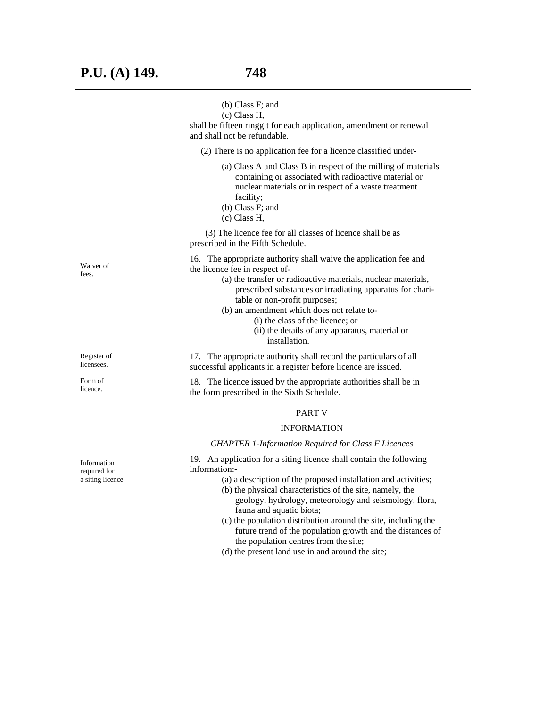|                                                  | (b) Class F; and<br>(c) Class H,<br>shall be fifteen ringgit for each application, amendment or renewal<br>and shall not be refundable.                                                                                                                                                                                                                                                                                                                                                                                                |
|--------------------------------------------------|----------------------------------------------------------------------------------------------------------------------------------------------------------------------------------------------------------------------------------------------------------------------------------------------------------------------------------------------------------------------------------------------------------------------------------------------------------------------------------------------------------------------------------------|
|                                                  | (2) There is no application fee for a licence classified under-                                                                                                                                                                                                                                                                                                                                                                                                                                                                        |
|                                                  | (a) Class A and Class B in respect of the milling of materials<br>containing or associated with radioactive material or<br>nuclear materials or in respect of a waste treatment<br>facility;<br>(b) Class F; and<br>(c) Class H,                                                                                                                                                                                                                                                                                                       |
|                                                  | (3) The licence fee for all classes of licence shall be as<br>prescribed in the Fifth Schedule.                                                                                                                                                                                                                                                                                                                                                                                                                                        |
| Waiver of<br>fees.                               | 16. The appropriate authority shall waive the application fee and<br>the licence fee in respect of-<br>(a) the transfer or radioactive materials, nuclear materials,<br>prescribed substances or irradiating apparatus for chari-<br>table or non-profit purposes;<br>(b) an amendment which does not relate to-<br>(i) the class of the licence; or<br>(ii) the details of any apparatus, material or<br>installation.                                                                                                                |
| Register of<br>licensees.                        | 17. The appropriate authority shall record the particulars of all<br>successful applicants in a register before licence are issued.                                                                                                                                                                                                                                                                                                                                                                                                    |
| Form of<br>licence.                              | 18. The licence issued by the appropriate authorities shall be in<br>the form prescribed in the Sixth Schedule.                                                                                                                                                                                                                                                                                                                                                                                                                        |
|                                                  | <b>PART V</b>                                                                                                                                                                                                                                                                                                                                                                                                                                                                                                                          |
|                                                  | <b>INFORMATION</b>                                                                                                                                                                                                                                                                                                                                                                                                                                                                                                                     |
|                                                  | <b>CHAPTER 1-Information Required for Class F Licences</b>                                                                                                                                                                                                                                                                                                                                                                                                                                                                             |
| Information<br>required for<br>a siting licence. | 19. An application for a siting licence shall contain the following<br>information:-<br>(a) a description of the proposed installation and activities;<br>(b) the physical characteristics of the site, namely, the<br>geology, hydrology, meteorology and seismology, flora,<br>fauna and aquatic biota;<br>(c) the population distribution around the site, including the<br>future trend of the population growth and the distances of<br>the population centres from the site;<br>(d) the present land use in and around the site; |
|                                                  |                                                                                                                                                                                                                                                                                                                                                                                                                                                                                                                                        |

For lice

Info req a si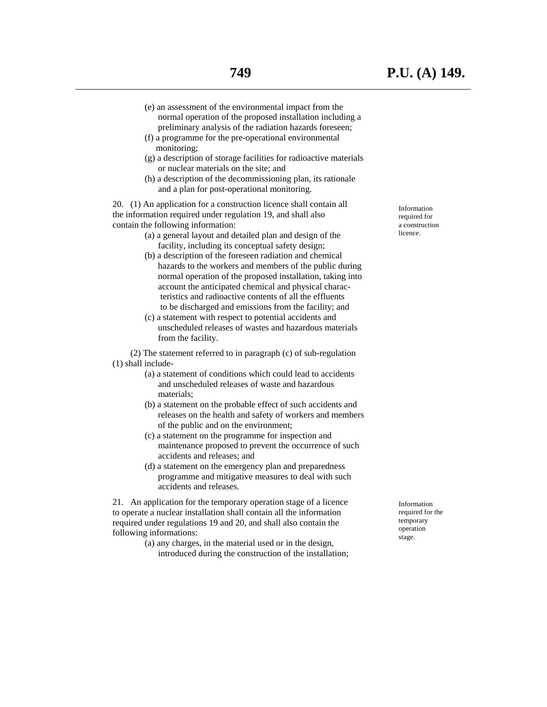- (e) an assessment of the environmental impact from the normal operation of the proposed installation including a preliminary analysis of the radiation hazards foreseen;
- (f) a programme for the pre-operational environmental monitoring;
- (g) a description of storage facilities for radioactive materials or nuclear materials on the site; and
- (h) a description of the decommissioning plan, its rationale and a plan for post-operational monitoring.

 20. (1) An application for a construction licence shall contain all the information required under regulation 19, and shall also contain the following information:

- (a) a general layout and detailed plan and design of the facility, including its conceptual safety design;
- (b) a description of the foreseen radiation and chemical hazards to the workers and members of the public during normal operation of the proposed installation, taking into account the anticipated chemical and physical charac teristics and radioactive contents of all the effluents to be discharged and emissions from the facility; and
- (c) a statement with respect to potential accidents and unscheduled releases of wastes and hazardous materials from the facility.

 (2) The statement referred to in paragraph (c) of sub-regulation (1) shall include-

- (a) a statement of conditions which could lead to accidents and unscheduled releases of waste and hazardous materials;
- (b) a statement on the probable effect of such accidents and releases on the health and safety of workers and members of the public and on the environment;
- (c) a statement on the programme for inspection and maintenance proposed to prevent the occurrence of such accidents and releases; and
- (d) a statement on the emergency plan and preparedness programme and mitigative measures to deal with such accidents and releases.

 21. An application for the temporary operation stage of a licence to operate a nuclear installation shall contain all the information required under regulations 19 and 20, and shall also contain the following informations:

> (a) any charges, in the material used or in the design, introduced during the construction of the installation;

Information required for a construction licence.

Information required for the temporary operation stage.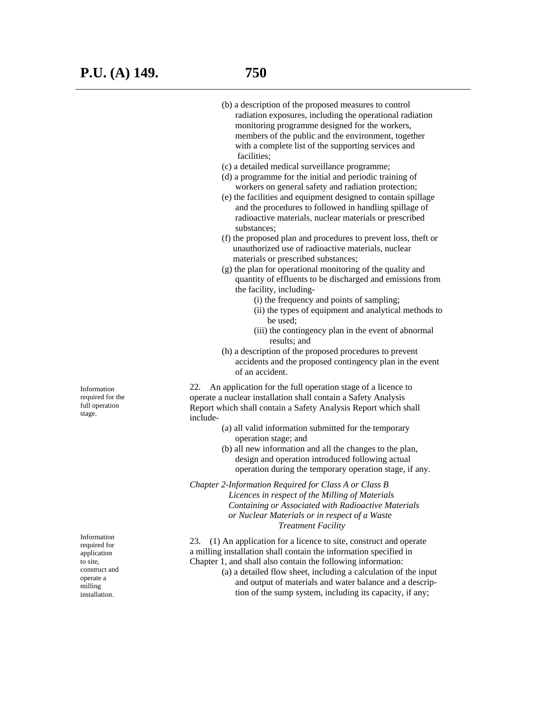(b) a description of the proposed measures to control radiation exposures, including the operational radiation monitoring programme designed for the workers, members of the public and the environment, together with a complete list of the supporting services and facilities; (c) a detailed medical surveillance programme; (d) a programme for the initial and periodic training of workers on general safety and radiation protection; (e) the facilities and equipment designed to contain spillage and the procedures to followed in handling spillage of radioactive materials, nuclear materials or prescribed substances; (f) the proposed plan and procedures to prevent loss, theft or unauthorized use of radioactive materials, nuclear materials or prescribed substances; (g) the plan for operational monitoring of the quality and quantity of effluents to be discharged and emissions from the facility, including- (i) the frequency and points of sampling; (ii) the types of equipment and analytical methods to be used; (iii) the contingency plan in the event of abnormal results; and (h) a description of the proposed procedures to prevent accidents and the proposed contingency plan in the event of an accident. 22. An application for the full operation stage of a licence to operate a nuclear installation shall contain a Safety Analysis Report which shall contain a Safety Analysis Report which shall include- (a) all valid information submitted for the temporary operation stage; and (b) all new information and all the changes to the plan, design and operation introduced following actual operation during the temporary operation stage, if any. *Chapter 2-Information Required for Class A or Class B Licences in respect of the Milling of Materials Containing or Associated with Radioactive Materials or Nuclear Materials or in respect of a Waste Treatment Facility* 

 23. (1) An application for a licence to site, construct and operate a milling installation shall contain the information specified in Chapter 1, and shall also contain the following information:

 (a) a detailed flow sheet, including a calculation of the input and output of materials and water balance and a descrip tion of the sump system, including its capacity, if any;

Information required for the full operation stage.

Information required for application to site, construct and operate a milling installation.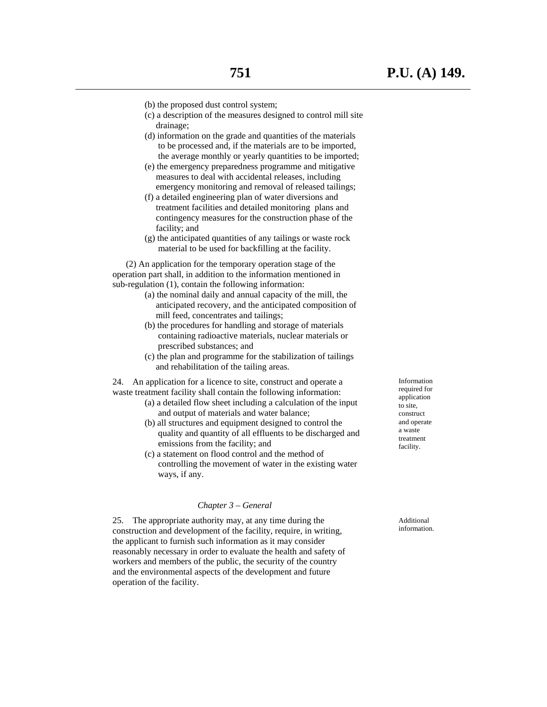- (b) the proposed dust control system;
- (c) a description of the measures designed to control mill site drainage;
- (d) information on the grade and quantities of the materials to be processed and, if the materials are to be imported, the average monthly or yearly quantities to be imported;
- (e) the emergency preparedness programme and mitigative measures to deal with accidental releases, including emergency monitoring and removal of released tailings;
- (f) a detailed engineering plan of water diversions and treatment facilities and detailed monitoring plans and contingency measures for the construction phase of the facility; and
- (g) the anticipated quantities of any tailings or waste rock material to be used for backfilling at the facility.

 (2) An application for the temporary operation stage of the operation part shall, in addition to the information mentioned in sub-regulation (1), contain the following information:

- (a) the nominal daily and annual capacity of the mill, the anticipated recovery, and the anticipated composition of mill feed, concentrates and tailings;
- (b) the procedures for handling and storage of materials containing radioactive materials, nuclear materials or prescribed substances; and
- (c) the plan and programme for the stabilization of tailings and rehabilitation of the tailing areas.

 24. An application for a licence to site, construct and operate a waste treatment facility shall contain the following information:

- (a) a detailed flow sheet including a calculation of the input and output of materials and water balance;
- (b) all structures and equipment designed to control the quality and quantity of all effluents to be discharged and emissions from the facility; and
- (c) a statement on flood control and the method of controlling the movement of water in the existing water ways, if any.

#### *Chapter 3 – General*

 25. The appropriate authority may, at any time during the construction and development of the facility, require, in writing, the applicant to furnish such information as it may consider reasonably necessary in order to evaluate the health and safety of workers and members of the public, the security of the country and the environmental aspects of the development and future operation of the facility.

Information required for application to site, construct and operate a waste treatment facility.

Additional information.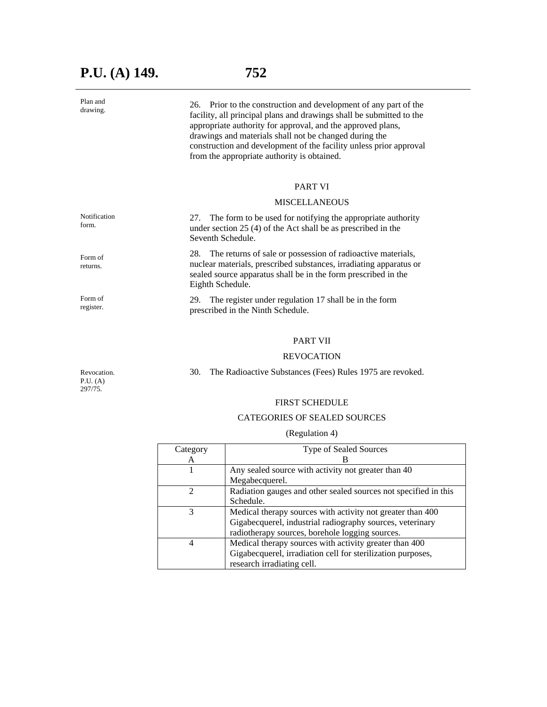## **P.U. (A) 149. 752**

Plan and drawing.

form.

Form of returns.

Form of register.

 26. Prior to the construction and development of any part of the facility, all principal plans and drawings shall be submitted to the appropriate authority for approval, and the approved plans, drawings and materials shall not be changed during the construction and development of the facility unless prior approval from the appropriate authority is obtained.

#### PART VI

#### MISCELLANEOUS

Notification 27. The form to be used for notifying the appropriate authority under section 25 (4) of the Act shall be as prescribed in the Seventh Schedule.

 28. The returns of sale or possession of radioactive materials, nuclear materials, prescribed substances, irradiating apparatus or sealed source apparatus shall be in the form prescribed in the Eighth Schedule.

 29. The register under regulation 17 shall be in the form prescribed in the Ninth Schedule.

#### PART VII

#### REVOCATION

30. The Radioactive Substances (Fees) Rules 1975 are revoked.

FIRST SCHEDULE

#### CATEGORIES OF SEALED SOURCES

#### (Regulation 4)

| Category | <b>Type of Sealed Sources</b>                                   |
|----------|-----------------------------------------------------------------|
| А        |                                                                 |
|          | Any sealed source with activity not greater than 40             |
|          | Megabecquerel.                                                  |
|          | Radiation gauges and other sealed sources not specified in this |
|          | Schedule.                                                       |
| 3        | Medical therapy sources with activity not greater than 400      |
|          | Gigabecquerel, industrial radiography sources, veterinary       |
|          | radiotherapy sources, borehole logging sources.                 |
| 4        | Medical therapy sources with activity greater than 400          |
|          | Gigabecquerel, irradiation cell for sterilization purposes,     |
|          | research irradiating cell.                                      |

Revocation. P.U. (A) 297/75.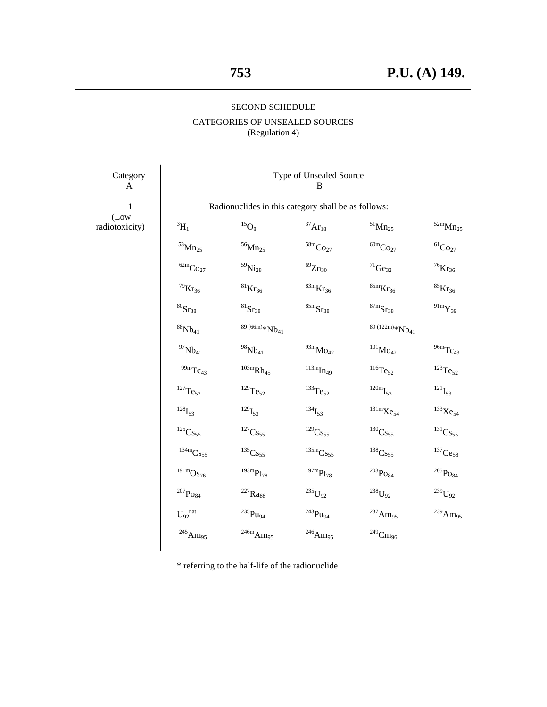## SECOND SCHEDULE

### CATEGORIES OF UNSEALED SOURCES (Regulation 4)

| Category               | Type of Unsealed Source                             |                                    |                                                 |                                      |                                   |
|------------------------|-----------------------------------------------------|------------------------------------|-------------------------------------------------|--------------------------------------|-----------------------------------|
| 1                      | Radionuclides in this category shall be as follows: |                                    |                                                 |                                      |                                   |
| (Low<br>radiotoxicity) | $^3\mathrm{H}_1$                                    | $^{15}\mathrm{O}_8$                | $^{37}\mathrm{Ar}_{18}$                         | $\mathrm{^{51}Mn_{25}}$              | $^{52\mathrm{m}}\mathrm{Mn}_{25}$ |
|                        | $^{53}\mathrm{Mn}_{25}$                             | $^{56}\mathrm{Mn}_{25}$            | $^{58\mathrm{m}}\mathrm{Co}_{27}$               | $^{60\mathrm{m}}\mathrm{Co}_{27}$    | $^{61}\mathrm{Co}_{27}$           |
|                        | $\mathrm{^{62m}Co_{27}}$                            | $^{59}\mathrm{Ni}_{28}$            | $^{69} \rm Zn_{30}$                             | $^{71}\mathrm{Ge}_{32}$              | $^{76}\mathrm{Kr}_{36}$           |
|                        | $^{79}\mathrm{Kr}_{36}$                             | $^{81}\mathrm{Kr}_{36}$            | ${}^\mathrm{83m}\mathrm{Kr}_{36}$               | ${}^\mathrm{85m}\mathrm{Kr}_{36}$    | $^{85}\mathrm{Kr}_{36}$           |
|                        | $^{80}\mathrm{Sr}_{38}$                             | $^{81}\mathrm{Sr}_{38}$            | ${}^\mathrm{85m}\mathrm{Sr}_{38}$               | $\mathrm{^{87}m}_{\mathbf{S}r_{38}}$ | $^{91\rm m} \rm Y_{39}$           |
|                        | $^{88}\mathrm{Nb}_{41}$                             | $89(66m)*Nb41$                     |                                                 | $89(122m)*Nb41$                      |                                   |
|                        | $^{97}\mathrm{Nb}_{41}$                             | $^{98}\mathrm{Nb}_{41}$            | $^{93\mathrm{m}}\mathrm{Mo}_{42}$               | $^{101}\mathrm{Mo}_{42}$             | $^{96m}\mathrm{Tc}_{43}$          |
|                        | $^{99\mathrm{m}}\mathrm{Tc}_{43}$                   | $^{103\mathrm{m}}\mathrm{Rh}_{45}$ | $\prescript{113m}{\textrm{Im}}\mathrm{In}_{49}$ | $^{116}\mathrm{Te}_{52}$             | $^{123}\mathrm{Te}_{52}$          |
|                        | $^{127}\mathrm{Te}_{52}$                            | $^{129}\mathrm{Te}_{52}$           | $^{133}\mathrm{Te}_{52}$                        | $^{120\mathrm{m}}\mathrm{I}_{53}$    | $^{121}\mathrm{I}_{53}$           |
|                        | $^{128}\mathrm{I}_{53}$                             | $^{129}\mathrm{I}_{53}$            | $^{134}\mathrm{I}_{53}$                         | $^{131\mathrm{m}}\mathrm{Xe}_{54}$   | $^{133}\mathrm{Xe}_{54}$          |
|                        | $\mathrm{^{125}Cs_{55}}$                            | $\mathrm{^{127}Cs_{55}}$           | $^{129}\mathrm{Cs}_{55}$                        | $^{130}\mathrm{Cs}_{55}$             | $\mathrm{^{131}Cs_{55}}$          |
|                        | $\prescript{134m}{\rm Cs}_{55}$                     | $\mathrm{^{135}Cs_{55}}$           | $^{135\mathrm{m}}\mathrm{Cs}_{55}$              | $^{138}\mathrm{Cs}_{55}$             | $^{137}\mathrm{Ce}_{58}$          |
|                        | $^{191\mathrm{m}}\mathrm{Os}_{76}$                  | $^{193\mathrm{m}}\mathrm{Pt}_{78}$ | $^{197\mathrm{m}}\mathrm{Pt}_{78}$              | $^{203}\mathrm{Po}_{84}$             | $^{205}\mathrm{Po}_{84}$          |
|                        | $^{207}\mathrm{Po}_{84}$                            | $^{227}\mathrm{Ra}_{88}$           | $\mathrm{^{235}U_{92}}$                         | $^{238}\mathrm{U}_{92}$              | $^{239}\mathrm{U}_{92}$           |
|                        | $\mathbf{U_{92}}^{nat}$                             | $^{235}\mathrm{Pu}_{94}$           | $\mathrm{^{243}Pu_{94}}$                        | $^{237}\mathrm{Am}_{95}$             | $^{239}\mathrm{Am}_{95}$          |
|                        | $^{245}\mathrm{Am}_{95}$                            | $^{246\mathrm{m}}\mathrm{Am}_{95}$ | $^{246}\mathrm{Am}_{95}$                        | $^{249}\mathrm{Cm}_{96}$             |                                   |

\* referring to the half-life of the radionuclide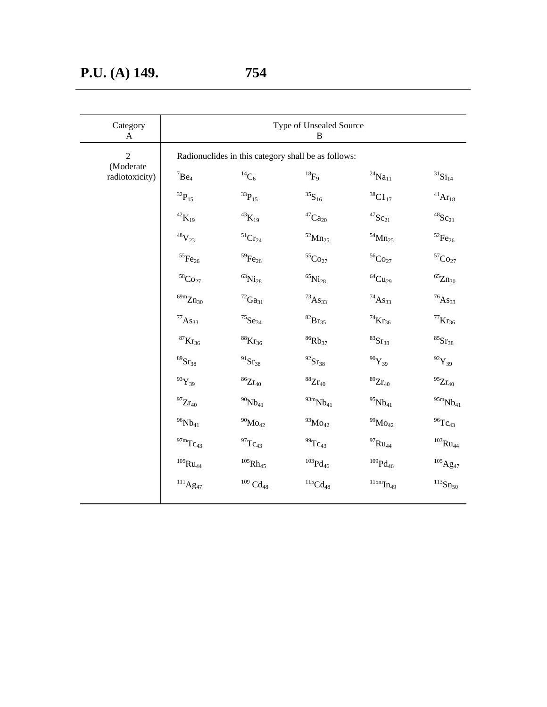| Category<br>A               | Type of Unsealed Source<br>B                        |                           |                                   |                           |                                      |
|-----------------------------|-----------------------------------------------------|---------------------------|-----------------------------------|---------------------------|--------------------------------------|
| $\overline{2}$              | Radionuclides in this category shall be as follows: |                           |                                   |                           |                                      |
| (Moderate<br>radiotoxicity) | ${}^{7}Be_4$                                        | $^{14}\mathrm{C}_6$       | $^{18} \mathrm{F}_9$              | $^{24}\rm{Na}_{11}$       | $\boldsymbol{^{31}\mathrm{Si}_{14}}$ |
|                             | $^{32}\mathrm{P}_{15}$                              | $^{33}\mathrm{P}_{15}$    | $^{35}\mathrm{S}_{16}$            | $^{38}\mathrm{C1}_{17}$   | $^{41}\mathrm{Ar}_{18}$              |
|                             | $^{42}\mathrm{K}_{19}$                              | $^{43}\mathrm{K}_{19}$    | $\mathrm{^{47}Ca_{20}}$           | $^{47}\mathrm{Sc}_{21}$   | $^{48}\mathrm{Sc}_{21}$              |
|                             | $^{48}\rm V_{23}$                                   | $\mathrm{^{51}Cr_{24}}$   | $^{52}\mathrm{Mn}_{25}$           | $^{54}\mathrm{Mn}_{25}$   | $^{52}\mathrm{Fe}_{26}$              |
|                             | $^{55}\mathrm{Fe}_{26}$                             | $^{59}\mathrm{Fe}_{26}$   | $^{55}\mathrm{Co}_{27}$           | $^{56}\mathrm{Co}_{27}$   | ${ }^{57}\mathrm{Co}_{27}$           |
|                             | $^{58}\mathrm{Co}_{27}$                             | $^{63}\mathrm{Ni}_{28}$   | $^{65}\mathrm{Ni}_{28}$           | $^{64}\mathrm{Cu}_{29}$   | $^{65} \rm Zn_{30}$                  |
|                             | $^{69\mathrm{m}}\mathrm{Zn}_{30}$                   | $^{72}\mathrm{Ga}_{31}$   | $^{73}\mathrm{As}_{33}$           | $^{74}\mathrm{As}_{33}$   | $^{76}\mathrm{As}_{33}$              |
|                             | $^{77}\mathrm{As}_{33}$                             | $^{75}\mathrm{Se}_{34}$   | $^{82}\mathrm{Br}_{35}$           | $^{74}\mathrm{Kr}_{36}$   | $^{77}\mathrm{Kr}_{36}$              |
|                             | $^{87}\mathrm{Kr}_{36}$                             | $^{88}\mathrm{Kr}_{36}$   | $^{86}\mathrm{Rb}_{37}$           | $^{83}\mathrm{Sr}_{38}$   | $^{85}\mathrm{Sr}_{38}$              |
|                             | $^{89}\mathrm{Sr}_{38}$                             | $^{91}\mathrm{Sr}_{38}$   | $^{92}\mathrm{Sr}_{38}$           | $^{90}\mathrm{Y}_{39}$    | $^{92}\mathrm{Y}_{39}$               |
|                             | $^{93}\mathrm{Y}_{39}$                              | $^{86}\mathrm{Zr}_{40}$   | $^{88}\mathrm{Zr}_{40}$           | $^{89}\mathrm{Zr}_{40}$   | $^{95}\mathrm{Zr}_{40}$              |
|                             | $^{97}\rm Zr_{40}$                                  | $^{90}\mathrm{Nb}_{41}$   | $^{93\mathrm{m}}\mathrm{Nb}_{41}$ | $^{95}\mathrm{Nb}_{41}$   | $^{95\mathrm{m}}\mathrm{Nb}_{41}$    |
|                             | $^{96}\mathrm{Nb}_{41}$                             | $^{90}\!Mo_{42}$          | $^{93}\mathrm{Mo}_{42}$           | $^{99}\mathrm{Mo}_{42}$   | $^{96}\mathrm{Tc}_{43}$              |
|                             | $^{97\mathrm{m}}\mathrm{Tc}_{43}$                   | $^{97}\mathrm{Tc}_{43}$   | $^{99}\mathrm{Tc}_{43}$           | $^{97}\mathrm{Ru}_{44}$   | $^{103}\mathrm{Ru}_{44}$             |
|                             | $^{105}\mathrm{Ru}_{44}$                            | $^{105}\mathrm{Rh}_{45}$  | $^{103}\mathrm{Pd}_{46}$          | $^{109}\mathrm{Pd}_{46}$  | $^{105}\mathrm{Ag}_{47}$             |
|                             | $\prescript{111}{}{\mathrm{Ag}}_{47}$               | $^{109}\, \text{Cd}_{48}$ | $\mathrm{^{115}Cd_{48}}$          | $\mathrm{^{115m}In_{49}}$ | $^{113}\mathrm{Sn}_{50}$             |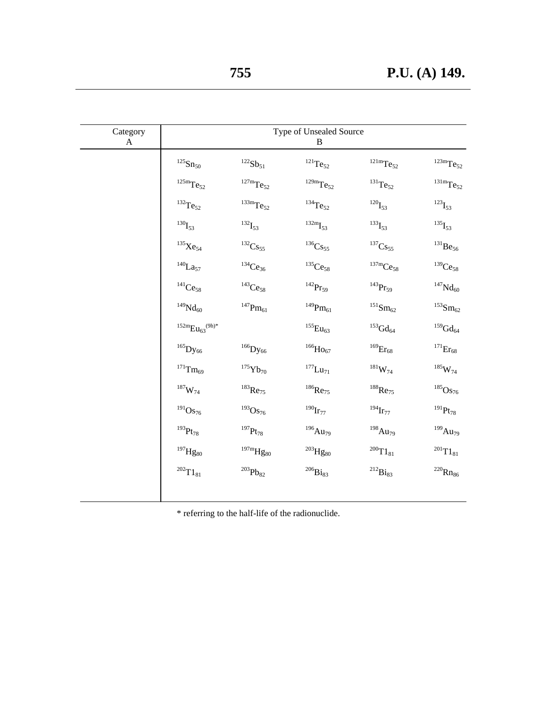| Category<br>$\mathbf{A}$ |                                    |                                    | Type of Unsealed Source<br>$\, {\bf B}$ |                                       |                                    |
|--------------------------|------------------------------------|------------------------------------|-----------------------------------------|---------------------------------------|------------------------------------|
|                          | $^{125}\mathrm{Sn}_{50}$           | $^{122}\mathrm{Sb}_{51}$           | $\mathrm{^{121}Te_{52}}$                | $^{121\mathrm{m}}\mathrm{Te}_{52}$    | $^{123\mathrm{m}}\mathrm{Te}_{52}$ |
|                          | $^{125\mathrm{m}}\mathrm{Te}_{52}$ | $^{127\mathrm{m}}\mathrm{Te}_{52}$ | $^{129\mathrm{m}}\mathrm{Te}_{52}$      | $^{131}\mathrm{Te}_{52}$              | $^{131\mathrm{m}}\mathrm{Te}_{52}$ |
|                          | $^{132}\mathrm{Te}_{52}$           | $^{133\mathrm{m}}\mathrm{Te}_{52}$ | $^{134}\mathrm{Te}_{52}$                | $^{120}\mathrm{I}_{53}$               | $^{123}\mathrm{I}_{53}$            |
|                          | $^{130}\mathrm{I}_{53}$            | $^{132}\mathrm{I}_{53}$            | $^{132\mathrm{m}}\mathrm{I}_{53}$       | $^{133}\mathrm{I}_{53}$               | $^{135}\mathrm{I}_{53}$            |
|                          | $^{135}\mathrm{Xe}_{54}$           | $\mathrm{^{132}Cs_{55}}$           | $^{136}\mathrm{Cs}_{55}$                | $^{137}\mathrm{Cs}_{55}$              | $^{131}\mathrm{Be}_{56}$           |
|                          | $^{140}\mathrm{La}_{57}$           | $^{134}Ce_{36}$                    | $^{135}\mathrm{Ce}_{58}$                | $^{137\mathrm{m}}\mathrm{Ce}_{58}$    | $^{139}\mathrm{Ce}_{58}$           |
|                          | $\mathrm{^{141}Ce_{58}}$           | $\mathrm{^{143}Ce_{58}}$           | $\mathrm{^{142}Pr_{59}}$                | $^{143}\mathrm{Pr}_{59}$              | $^{147}\mathrm{Nd}_{60}$           |
|                          | $^{149}\mathrm{Nd}_{60}$           | $^{147}\mathrm{Pm}_{61}$           | $^{149}\mathrm{Pm}_{61}$                | $^{151}\mathrm{Sm}_{62}$              | $^{153}\mathrm{Sm}_{62}$           |
|                          | $^{152m}Eu_{63}^{(9h)*}$           |                                    | $^{155}\mathrm{Eu}_{63}$                | $^{153}\mathrm{Gd}_{64}$              | $^{159}\mathrm{Gd}_{64}$           |
|                          | $^{165}\mathrm{Dy_{66}}$           | $^{166}\mathrm{Dy_{66}}$           | $^{166}\mathrm{Ho}_{67}$                | $^{169}\mathrm{Er}_{68}$              | $^{171}\mathrm{Er}_{68}$           |
|                          | $^{171}\mathrm{Tm}_{69}$           | $^{175}\mathrm{Yb}_{70}$           | $^{177}\mathrm{Lu}_{71}$                | $^{181}\mathrm{W}_{74}$               | $^{185}\mathrm{W}_{74}$            |
|                          | $^{187}\mathrm{W}_{74}$            | $^{183}\mathrm{Re}_{75}$           | $^{186}\mathrm{Re}_{75}$                | $^{188}\mathrm{Re}_{75}$              | $^{185}\mathrm{Os}_{76}$           |
|                          | $^{191}\mathrm{Os}_{76}$           | $^{193}\mathrm{Os}_{76}$           | $^{190}\mathrm{Ir}_{77}$                | $^{194}\mathrm{Ir}_{77}$              | $^{191}\mathrm{Pt}_{78}$           |
|                          | $^{193}\mathrm{Pt}_{78}$           | $^{197}\mathrm{Pt}_{78}$           | $^{196}\mathrm{Au}_{79}$                | $^{198}\mathrm{Au}_{79}$              | $^{199}\mathrm{Au}_{79}$           |
|                          | $^{197}\!\mathrm{Hg}_{80}$         | $^{197\mathrm{m}}\!Hg_{80}$        | $^{203}\!Hg_{80}$                       | $^{200}\mathrm{T1}_{81}$              | $^{201}\mathrm{T1}_{81}$           |
|                          | $^{202}\mathrm{T1}_{81}$           | $^{203}\mathrm{Pb}_{82}$           | $^{206}\mathrm{Bi}_{83}$                | $\prescript{212}{}{\mathbf{Bi}_{83}}$ | $^{220}\mathrm{Rn}_{86}$           |
|                          |                                    |                                    |                                         |                                       |                                    |

\* referring to the half-life of the radionuclide.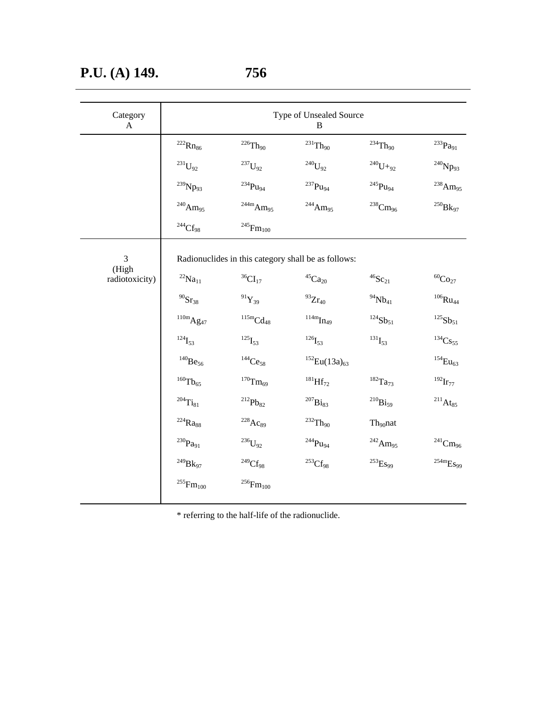| Category<br>$\mathbf{A}$ | Type of Unsealed Source<br>$\, {\bf B}$ |                                                     |                           |                          |                                           |
|--------------------------|-----------------------------------------|-----------------------------------------------------|---------------------------|--------------------------|-------------------------------------------|
|                          | $^{222}\mathrm{Rn}_{86}$                | $^{226}\mathrm{Th}_{90}$                            | $\mathrm{^{231}Th_{90}}$  | $\mathrm{^{234}Th_{90}}$ | $^{233}\mathrm{Pa}_{91}$                  |
|                          | $\mathrm{^{231}U_{92}}$                 | $\mathrm{^{237}U_{92}}$                             | $^{240}\mathrm{U}_{92}$   | $^{240}\mathrm{U+}_{92}$ | $^{240}\mathrm{Np}_{93}$                  |
|                          | $^{239}\mathrm{Np}_{93}$                | $^{234}\mathrm{Pu}_{94}$                            | $\mathrm{^{237}Pu_{94}}$  | $^{245}\mathrm{Pu}_{94}$ | $^{238}\mathrm{Am}_{95}$                  |
|                          | $^{240}\mathrm{Am}_{95}$                | $\mathrm{^{244m}Am_{95}}$                           | $^{244}\mathrm{Am}_{95}$  | $^{238}\mathrm{Cm}_{96}$ | $^{250}\mathrm{Bk}_{97}$                  |
|                          | $\mathrm{^{244}Cf_{98}}$                | $^{245}\mathrm{Fm}_{100}$                           |                           |                          |                                           |
| 3<br>(High               |                                         | Radionuclides in this category shall be as follows: |                           |                          |                                           |
| radiotoxicity)           | $^{22}\mathrm{Na}_{11}$                 | $\mathrm{^{36}CI_{17}}$                             | $^{45}\mathrm{Ca}_{20}$   | $^{46}\mathrm{Sc}_{21}$  | $^{60}\mathrm{Co}_{27}$                   |
|                          | $^{90}\mathrm{Sr}_{38}$                 | $^{91}\mathrm{Y}_{39}$                              | $^{93}\mathrm{Zr}_{40}$   | $^{94}\mathrm{Nb}_{41}$  | $^{106}\mathrm{Ru}_{44}$                  |
|                          | $^{110\mathrm{m}}\mathrm{Ag}_{47}$      | $\mathrm{^{115m}Cd_{48}}$                           | $\mathrm{^{114m}In_{49}}$ | $^{124}\mathrm{Sb}_{51}$ | $^{125}\mathrm{Sb}_{51}$                  |
|                          | $^{124}\mathrm{I}_{53}$                 | $^{125}\mathrm{I}_{53}$                             | $^{126}\mathrm{I}_{53}$   | $^{131}\mathrm{I}_{53}$  | $\mathrm{^{134}Cs_{55}}$                  |
|                          | $^{140}\mathrm{Be}_{56}$                | $\mathrm{^{144}Ce_{58}}$                            | $^{152}Eu(13a)_{63}$      |                          | $^{154}\mathrm{Eu}_{63}$                  |
|                          | $^{160}\mathrm{Tb}_{65}$                | $^{170}\mathrm{Tm}_{69}$                            | $^{181}\mathrm{Hf}_{72}$  | $^{182}\mathrm{Ta}_{73}$ | $^{192}\mathrm{Ir}_{77}$                  |
|                          | $^{204}\mathrm{Ti}_{81}$                | $\prescript{212}{}{\text{Pb}_{82}}$                 | $^{207}\mathrm{Bi}_{83}$  | $^{210}\mathrm{Bi}_{59}$ | $^{211}\mathrm{At}_{85}$                  |
|                          | $^{224}\mathrm{Ra}_{88}$                | $^{228}\mathrm{Ac}_{89}$                            | $\mathrm{^{232}Th_{90}}$  | $\rm Th_{90}nat$         |                                           |
|                          | $^{230}\mathrm{Pa}_{91}$                | $^{236}\mathrm{U}_{92}$                             | $\mathrm{^{244}Pu_{94}}$  | $^{242}\mathrm{Am}_{95}$ | $\mathrm{^{241}Cm_{96}}$                  |
|                          | $^{249}\mathrm{Bk}_{97}$                | $\mathrm{^{249}Cf_{98}}$                            | $\mathrm{^{253}Cf_{98}}$  | $^{253}\mathrm{Es}_{99}$ | $^{254\mathrm{m}}\mathrm{E}\mathrm{S}$ 99 |
|                          | $^{255}\mathrm{Fm}_{100}$               | $^{256}\mathrm{Fm}_{100}$                           |                           |                          |                                           |

\* referring to the half-life of the radionuclide.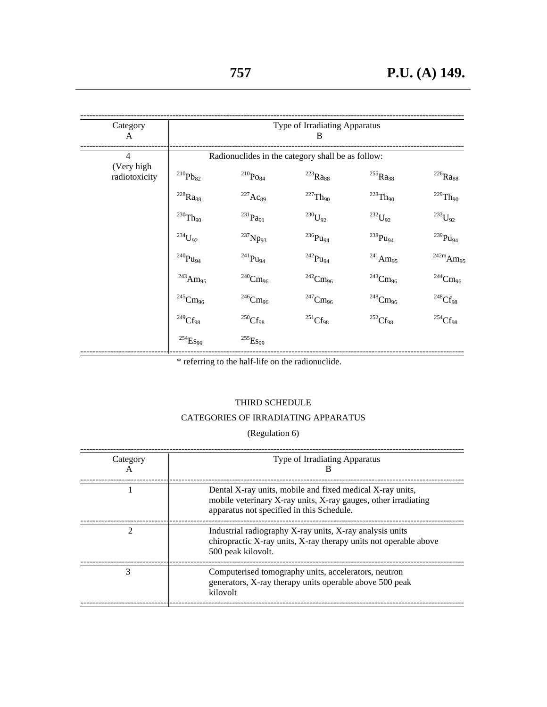| Category<br>A               | Type of Irradiating Apparatus<br>B    |                                                   |                                                   |                          |                                    |
|-----------------------------|---------------------------------------|---------------------------------------------------|---------------------------------------------------|--------------------------|------------------------------------|
| $\overline{4}$              |                                       |                                                   | Radionuclides in the category shall be as follow: |                          |                                    |
| (Very high<br>radiotoxicity | $\prescript{210}{}{\mathrm{Pb}_{82}}$ | $^{210}\!Po_{84}$                                 | $\mathrm{^{223}Ra_{88}}$                          | $^{255}\mathrm{Ra}_{88}$ | $^{226}\mathrm{Ra}_{88}$           |
|                             | $^{228}\mathrm{Ra}_{88}$              | $^{227}Ac_{89}$                                   | $^{227}\mathrm{Th}_{90}$                          | $\mathrm{^{228}Th_{90}}$ | $\mathrm{^{229}Th_{90}}$           |
|                             | $^{230}\mathrm{Th}_{90}$              | $\prescript{231}{}{\mathbf{p}}_{\mathbf{d}_{91}}$ | $^{230}\!U_{92}$                                  | $\mathrm{^{232}U_{92}}$  | $\mathrm{^{233}U_{92}}$            |
|                             | $^{234}U_{92}$                        | $^{237}Np_{93}$                                   | $^{236}\mathrm{Pu}_{94}$                          | $^{238}\mathrm{Pu}_{94}$ | $^{239}\mathrm{Pu}_{94}$           |
|                             | $^{240}\mathrm{Pu}_{94}$              | $\mathrm{^{241}Pu_{94}}$                          | $\mathrm{^{242}Pu_{94}}$                          | $^{241}\mathrm{Am}_{95}$ | $^{242\mathrm{m}}\mathrm{Am}_{95}$ |
|                             | $^{243}\mathrm{Am}_{95}$              | $^{240}\mathrm{Cm}_{96}$                          | $^{242}\mathrm{Cm}_{96}$                          | $^{243}\mathrm{Cm}_{96}$ | $^{244}\mathrm{Cm}_{96}$           |
|                             | $^{245}\mathrm{Cm}_{96}$              | $^{246}\mathrm{Cm}_{96}$                          | $\mathrm{^{247}Cm_{96}}$                          | $^{248}\mathrm{Cm}_{96}$ | $\mathrm{^{248}Cf_{98}}$           |
|                             | $^{249}\mathrm{Cf}_{98}$              | $^{250}\mathrm{Cf}_{98}$                          | $\mathrm{^{251}Cf_{98}}$                          | $\mathrm{^{252}Cf_{98}}$ | $\mathrm{^{254}Cf_{98}}$           |
|                             | $^{254}\mathrm{E}s_{99}$              | $^{255}\mathrm{E}s_{99}$                          |                                                   |                          |                                    |

\* referring to the half-life on the radionuclide.

## THIRD SCHEDULE

## CATEGORIES OF IRRADIATING APPARATUS

(Regulation 6)

| Category<br>$\mathsf{A}$ | Type of Irradiating Apparatus<br>в                                                                                                                                       |
|--------------------------|--------------------------------------------------------------------------------------------------------------------------------------------------------------------------|
|                          | Dental X-ray units, mobile and fixed medical X-ray units,<br>mobile veterinary X-ray units, X-ray gauges, other irradiating<br>apparatus not specified in this Schedule. |
| 2                        | Industrial radiography X-ray units, X-ray analysis units<br>chiropractic X-ray units, X-ray therapy units not operable above<br>500 peak kilovolt.                       |
| 3                        | Computerised tomography units, accelerators, neutron<br>generators, X-ray therapy units operable above 500 peak<br>kilovolt                                              |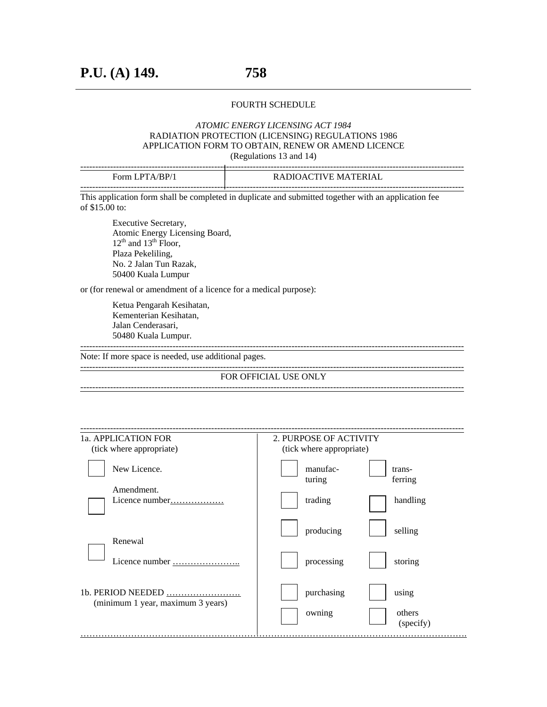#### FOURTH SCHEDULE

## *ATOMIC ENERGY LICENSING ACT 1984* RADIATION PROTECTION (LICENSING) REGULATIONS 1986 APPLICATION FORM TO OBTAIN, RENEW OR AMEND LICENCE

(Regulations 13 and 14)

| Form LPTA/BP/1 | RADIOACTIVE MATERIAL |
|----------------|----------------------|
|                |                      |
|                |                      |

This application form shall be completed in duplicate and submitted together with an application fee of \$15.00 to:

 Executive Secretary, Atomic Energy Licensing Board,  $12<sup>th</sup>$  and  $13<sup>th</sup>$  Floor, Plaza Pekeliling, No. 2 Jalan Tun Razak, 50400 Kuala Lumpur

or (for renewal or amendment of a licence for a medical purpose):

Ketua Pengarah Kesihatan, Kementerian Kesihatan, Jalan Cenderasari, 50480 Kuala Lumpur. ---------------------------------------------------------------------------------------------------------------------------------

Note: If more space is needed, use additional pages.

--------------------------------------------------------------------------------------------------------------------------------- FOR OFFICIAL USE ONLY ---------------------------------------------------------------------------------------------------------------------------------

| 1a. APPLICATION FOR               | 2. PURPOSE OF ACTIVITY                  |
|-----------------------------------|-----------------------------------------|
| (tick where appropriate)          | (tick where appropriate)                |
| New Licence.                      | manufac-<br>trans-<br>ferring<br>turing |
| Amendment.<br>Licence number      | trading<br>handling                     |
| Renewal                           | producing<br>selling                    |
|                                   | processing<br>storing                   |
| (minimum 1 year, maximum 3 years) | purchasing<br>using                     |
|                                   | others<br>owning<br>(specify)           |
|                                   |                                         |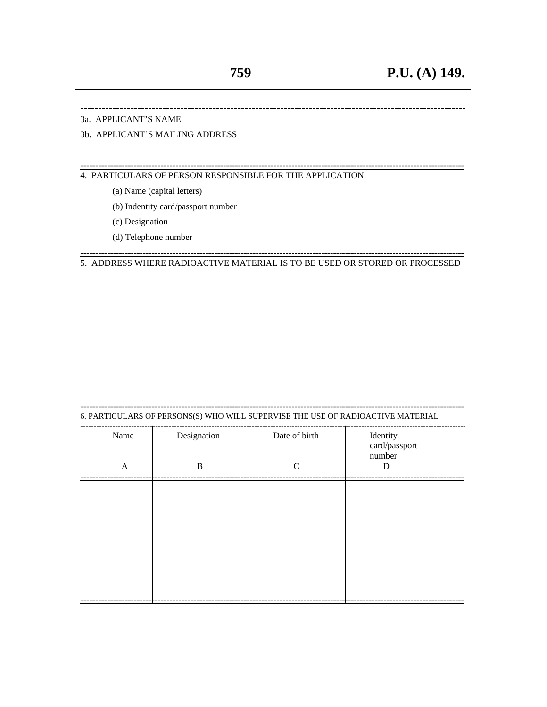.-------

#### 3a. APPLICANT'S NAME

## 3b. APPLICANT'S MAILING ADDRESS

4. PARTICULARS OF PERSON RESPONSIBLE FOR THE APPLICATION

- (a) Name (capital letters)
- (b) Indentity card/passport number
- (c) Designation
- (d) Telephone number

#### 5. ADDRESS WHERE RADIOACTIVE MATERIAL IS TO BE USED OR STORED OR PROCESSED

## 6. PARTICULARS OF PERSONS(S) WHO WILL SUPERVISE THE USE OF RADIOACTIVE MATERIAL

| Name         | Designation  | Date of birth | Identity<br>card/passport<br>number |
|--------------|--------------|---------------|-------------------------------------|
| $\mathbf{A}$ | $\, {\bf B}$ | $\mathbf C$   | D                                   |
|              |              |               |                                     |
|              |              |               |                                     |
|              |              |               |                                     |
|              |              |               |                                     |
|              |              |               |                                     |
|              |              |               |                                     |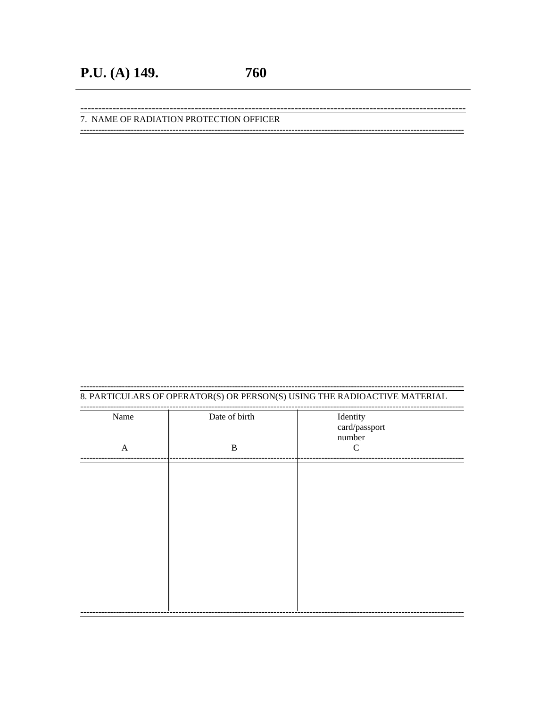.---------

------------------------

## 7. NAME OF RADIATION PROTECTION OFFICER

#### 8. PARTICULARS OF OPERATOR(S) OR PERSON(S) USING THE RADIOACTIVE MATERIAL

<u>--------------------</u> --------------------------------Date of birth Name Identity card/passport number  $\, {\bf B}$  $\mathsf C$  $\mathbf{A}$ --------------------------------------------------------------------------------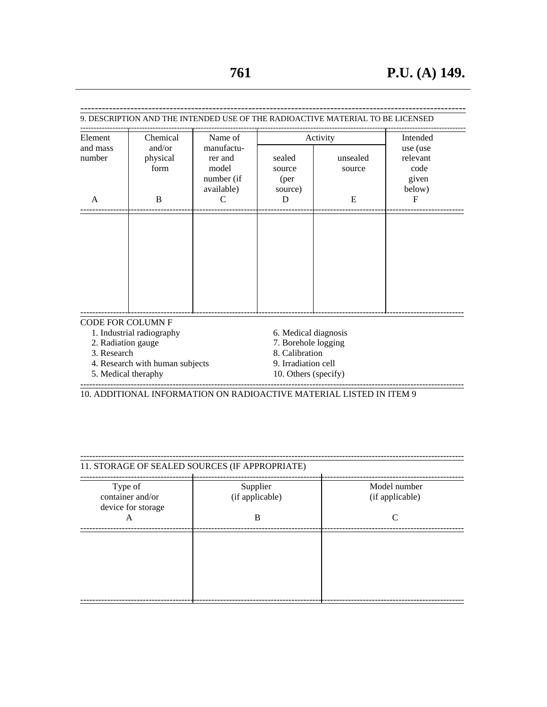| Element                  | Chemical                        |                                                            |                                     | Activity           | Intended                                        |
|--------------------------|---------------------------------|------------------------------------------------------------|-------------------------------------|--------------------|-------------------------------------------------|
| and mass<br>number       | and/or<br>physical<br>form      | manufactu-<br>rer and<br>model<br>number (if<br>available) | sealed<br>source<br>(per<br>source) | unsealed<br>source | use (use<br>relevant<br>code<br>given<br>below) |
| A                        | B                               | C                                                          | D                                   | E                  | $_{\rm F}$                                      |
|                          |                                 |                                                            |                                     |                    |                                                 |
|                          |                                 |                                                            |                                     |                    |                                                 |
|                          |                                 |                                                            |                                     |                    |                                                 |
|                          |                                 |                                                            |                                     |                    |                                                 |
|                          |                                 |                                                            |                                     |                    |                                                 |
|                          |                                 |                                                            |                                     |                    |                                                 |
|                          |                                 |                                                            |                                     |                    |                                                 |
|                          |                                 |                                                            |                                     |                    |                                                 |
|                          |                                 |                                                            |                                     |                    |                                                 |
| <b>CODE FOR COLUMN F</b> | 1. Industrial radiography       |                                                            | 6. Medical diagnosis                |                    |                                                 |
| 2. Radiation gauge       |                                 |                                                            | 7. Borehole logging                 |                    |                                                 |
| 3. Research              |                                 |                                                            | 8. Calibration                      |                    |                                                 |
|                          | 4. Research with human subjects |                                                            | 9. Irradiation cell                 |                    |                                                 |
| 5. Medical theraphy      |                                 |                                                            | 10. Others (specify)                |                    |                                                 |

--------------------------------------------------------------------------------------------------------------------------------- 10. ADDITIONAL INFORMATION ON RADIOACTIVE MATERIAL LISTED IN ITEM 9

| 11. STORAGE OF SEALED SOURCES (IF APPROPRIATE)    |                             |                                 |
|---------------------------------------------------|-----------------------------|---------------------------------|
| Type of<br>container and/or<br>device for storage | Supplier<br>(if applicable) | Model number<br>(if applicable) |
| A                                                 | B                           | C                               |
|                                                   |                             |                                 |
|                                                   |                             |                                 |
|                                                   |                             |                                 |
|                                                   |                             |                                 |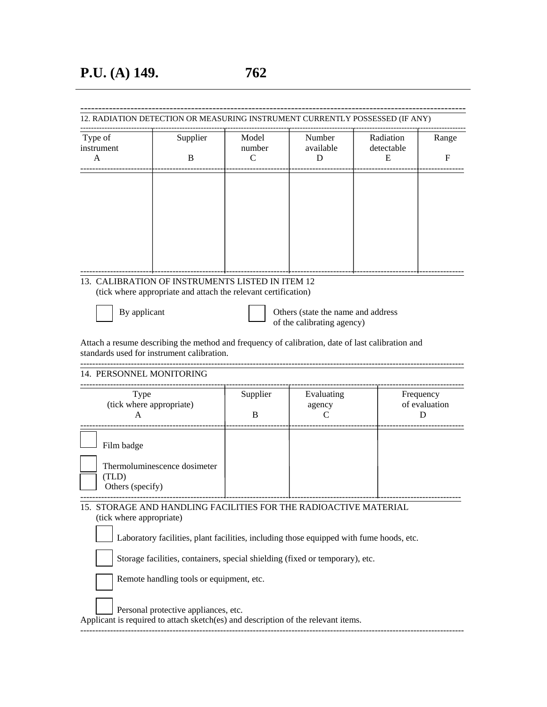| Type of                  | Supplier                                                                                         | Model    | Number                             | Radiation  | Range         |
|--------------------------|--------------------------------------------------------------------------------------------------|----------|------------------------------------|------------|---------------|
| instrument               |                                                                                                  | number   | available                          | detectable |               |
| A                        | B                                                                                                | C        | D                                  | E          | F             |
|                          |                                                                                                  |          |                                    |            |               |
|                          |                                                                                                  |          |                                    |            |               |
|                          |                                                                                                  |          |                                    |            |               |
|                          |                                                                                                  |          |                                    |            |               |
|                          |                                                                                                  |          |                                    |            |               |
|                          |                                                                                                  |          |                                    |            |               |
|                          |                                                                                                  |          |                                    |            |               |
|                          | 13. CALIBRATION OF INSTRUMENTS LISTED IN ITEM 12                                                 |          |                                    |            |               |
|                          | (tick where appropriate and attach the relevant certification)                                   |          |                                    |            |               |
| By applicant             |                                                                                                  |          | Others (state the name and address |            |               |
|                          |                                                                                                  |          | of the calibrating agency)         |            |               |
|                          | Attach a resume describing the method and frequency of calibration, date of last calibration and |          |                                    |            |               |
|                          | standards used for instrument calibration.                                                       |          |                                    |            |               |
| 14. PERSONNEL MONITORING |                                                                                                  |          |                                    |            |               |
| Type                     |                                                                                                  | Supplier | Evaluating                         |            | Frequency     |
| (tick where appropriate) |                                                                                                  | B        | agency                             |            | of evaluation |
| A                        |                                                                                                  |          | C                                  |            | D             |
| Film badge               |                                                                                                  |          |                                    |            |               |
|                          |                                                                                                  |          |                                    |            |               |
| (TLD)                    | Thermoluminescence dosimeter                                                                     |          |                                    |            |               |
| Others (specify)         |                                                                                                  |          |                                    |            |               |
|                          | 15. STORAGE AND HANDLING FACILITIES FOR THE RADIOACTIVE MATERIAL                                 |          |                                    |            |               |
|                          |                                                                                                  |          |                                    |            |               |
| (tick where appropriate) |                                                                                                  |          |                                    |            |               |
|                          |                                                                                                  |          |                                    |            |               |
|                          | Laboratory facilities, plant facilities, including those equipped with fume hoods, etc.          |          |                                    |            |               |
|                          | Storage facilities, containers, special shielding (fixed or temporary), etc.                     |          |                                    |            |               |
|                          | Remote handling tools or equipment, etc.                                                         |          |                                    |            |               |
|                          | Personal protective appliances, etc.                                                             |          |                                    |            |               |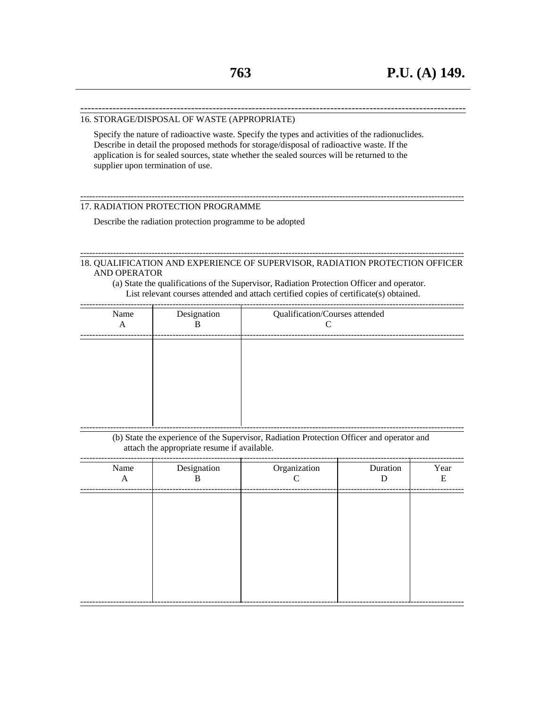#### ------------------------------------------------------------------------------------------------------------ 16. STORAGE/DISPOSAL OF WASTE (APPROPRIATE)

 Specify the nature of radioactive waste. Specify the types and activities of the radionuclides. Describe in detail the proposed methods for storage/disposal of radioactive waste. If the application is for sealed sources, state whether the sealed sources will be returned to the supplier upon termination of use.

#### 17. RADIATION PROTECTION PROGRAMME

Describe the radiation protection programme to be adopted

#### --------------------------------------------------------------------------------------------------------------------------------- 18. QUALIFICATION AND EXPERIENCE OF SUPERVISOR, RADIATION PROTECTION OFFICER AND OPERATOR

---------------------------------------------------------------------------------------------------------------------------------

(a) State the qualifications of the Supervisor, Radiation Protection Officer and operator. List relevant courses attended and attach certified copies of certificate(s) obtained.

| Name<br>A | Designation<br>B | Qualification/Courses attended<br>⌒ |  |
|-----------|------------------|-------------------------------------|--|
|           |                  |                                     |  |
|           |                  |                                     |  |
|           |                  |                                     |  |

(b) State the experience of the Supervisor, Radiation Protection Officer and operator and attach the appropriate resume if available.

| Name<br>$\mathbf{A}$ | Designation<br>B | Organization<br>$\mathsf{C}$ | Duration<br>D | Year<br>E |
|----------------------|------------------|------------------------------|---------------|-----------|
|                      |                  |                              |               |           |
|                      |                  |                              |               |           |
|                      |                  |                              |               |           |
|                      |                  |                              |               |           |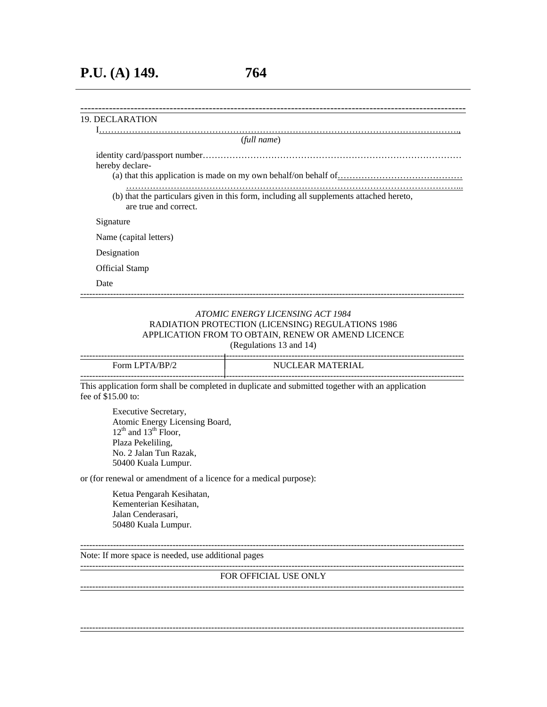## **P.U. (A) 149. 764**

## ------------------------------------------------------------------------------------------------------------ 19. DECLARATION I…………………………………………………………………………………………………………., (*full name*) identity card/passport number…………………………………………………………………………… hereby declare- (a) that this application is made on my own behalf/on behalf of  $\ldots$   $\ldots$   $\ldots$   $\ldots$   $\ldots$   $\ldots$   $\ldots$   $\ldots$   $\ldots$   $\ldots$  …………………………………………………………………………………………………... (b) that the particulars given in this form, including all supplements attached hereto, are true and correct. Signature Name (capital letters) Designation Official Stamp Date ---------------------------------------------------------------------------------------------------------------------------------

#### *ATOMIC ENERGY LICENSING ACT 1984* RADIATION PROTECTION (LICENSING) REGULATIONS 1986 APPLICATION FROM TO OBTAIN, RENEW OR AMEND LICENCE (Regulations 13 and 14)

--------------------------------------------------------------------------------------------------------------------------------- Form LPTA/BP/2 NUCLEAR MATERIAL ---------------------------------------------------------------------------------------------------------------------------------

This application form shall be completed in duplicate and submitted together with an application fee of \$15.00 to:

 Executive Secretary, Atomic Energy Licensing Board,  $12<sup>th</sup>$  and  $13<sup>th</sup>$  Floor, Plaza Pekeliling, No. 2 Jalan Tun Razak, 50400 Kuala Lumpur.

or (for renewal or amendment of a licence for a medical purpose):

Ketua Pengarah Kesihatan, Kementerian Kesihatan, Jalan Cenderasari, 50480 Kuala Lumpur.

--------------------------------------------------------------------------------------------------------------------------------- Note: If more space is needed, use additional pages

---------------------------------------------------------------------------------------------------------------------------------

#### FOR OFFICIAL USE ONLY

---------------------------------------------------------------------------------------------------------------------------------

---------------------------------------------------------------------------------------------------------------------------------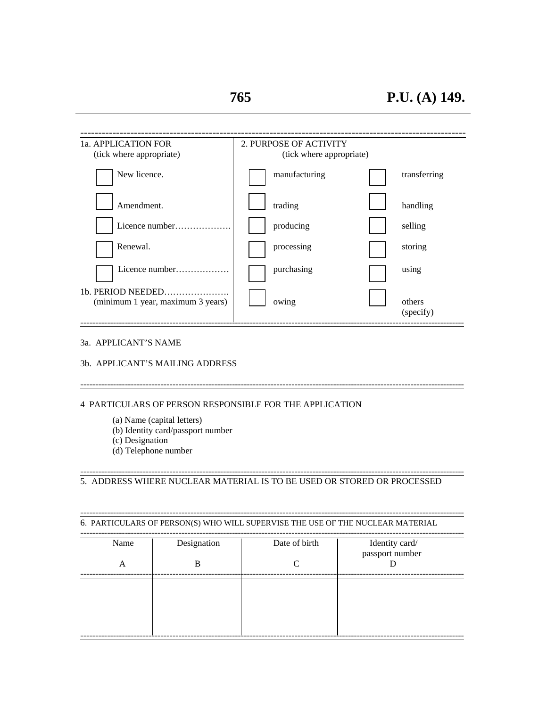| 1a. APPLICATION FOR<br>(tick where appropriate) | 2. PURPOSE OF ACTIVITY<br>(tick where appropriate) |                     |
|-------------------------------------------------|----------------------------------------------------|---------------------|
| New licence.                                    | manufacturing                                      | transferring        |
| Amendment.                                      | trading                                            | handling            |
| Licence number                                  | producing                                          | selling             |
| Renewal.                                        | processing                                         | storing             |
| Licence number                                  | purchasing                                         | using               |
| (minimum 1 year, maximum 3 years)               | owing                                              | others<br>(specify) |

## 3a. APPLICANT'S NAME

#### 3b. APPLICANT'S MAILING ADDRESS

---------------------------------------------------------------------------------------------------------------------------------

### 4 PARTICULARS OF PERSON RESPONSIBLE FOR THE APPLICATION

- (a) Name (capital letters)
- (b) Identity card/passport number
- (c) Designation
- (d) Telephone number

#### 5. ADDRESS WHERE NUCLEAR MATERIAL IS TO BE USED OR STORED OR PROCESSED

---------------------------------------------------------------------------------------------------------------------------------

---------------------------------------------------------------------------------------------------------------------------------

6. PARTICULARS OF PERSON(S) WHO WILL SUPERVISE THE USE OF THE NUCLEAR MATERIAL

| Name<br>А | Designation<br>B | Date of birth<br>⌒ | Identity card/<br>passport number |
|-----------|------------------|--------------------|-----------------------------------|
|           |                  |                    |                                   |
|           |                  |                    |                                   |
|           |                  |                    |                                   |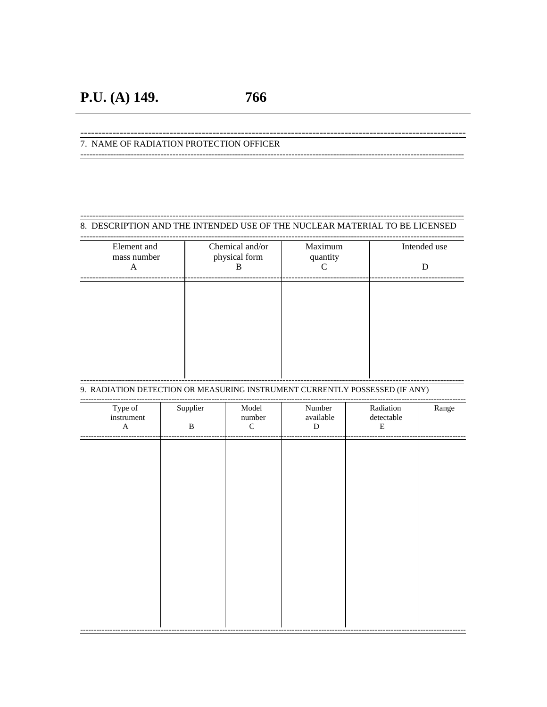766

## 7. NAME OF RADIATION PROTECTION OFFICER

#### 8. DESCRIPTION AND THE INTENDED USE OF THE NUCLEAR MATERIAL TO BE LICENSED

| Element and<br>mass number<br>A | Chemical and/or<br>physical form<br>B | Maximum<br>quantity | Intended use<br>D |
|---------------------------------|---------------------------------------|---------------------|-------------------|
|                                 |                                       |                     |                   |
|                                 |                                       |                     |                   |

## 9. RADIATION DETECTION OR MEASURING INSTRUMENT CURRENTLY POSSESSED (IF ANY)

| Type of<br>instrument<br>$\mathbf A$ | Supplier<br>$\, {\bf B}$ | $\textsf{Model}{}$<br>$\hbox{number}$<br>${\bf C}$ | Number<br>available<br>${\bf D}$ | Radiation<br>$\rm detectable$<br>${\bf E}$ | Range |
|--------------------------------------|--------------------------|----------------------------------------------------|----------------------------------|--------------------------------------------|-------|
|                                      |                          |                                                    |                                  |                                            |       |
|                                      |                          |                                                    |                                  |                                            |       |
|                                      |                          |                                                    |                                  |                                            |       |
|                                      |                          |                                                    |                                  |                                            |       |
|                                      |                          |                                                    |                                  |                                            |       |
|                                      |                          |                                                    |                                  |                                            |       |
|                                      |                          |                                                    |                                  |                                            |       |
|                                      |                          |                                                    |                                  |                                            |       |
|                                      |                          |                                                    |                                  |                                            |       |
|                                      |                          |                                                    |                                  |                                            |       |
|                                      |                          |                                                    |                                  |                                            |       |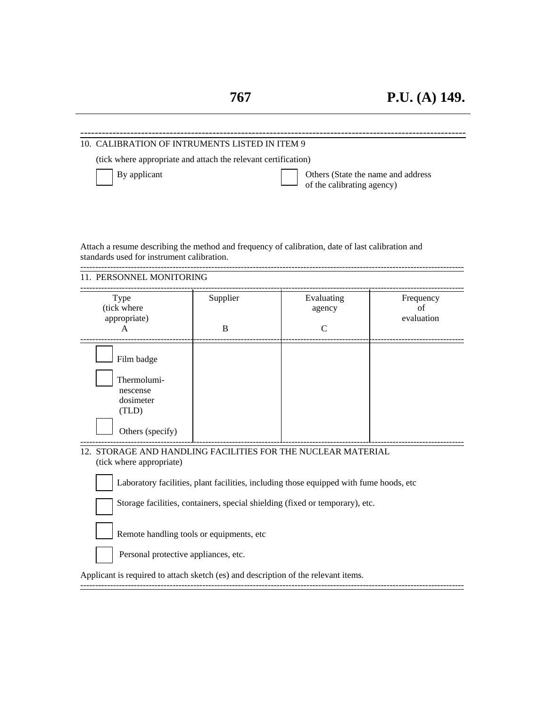#### ------------------------------------------------------------------------------------------------------------ 10. CALIBRATION OF INTRUMENTS LISTED IN ITEM 9

(tick where appropriate and attach the relevant certification)

By applicant **Department** Others (State the name and address of the calibrating agency)

Attach a resume describing the method and frequency of calibration, date of last calibration and standards used for instrument calibration.

--------------------------------------------------------------------------------------------------------------------------------- 11. PERSONNEL MONITORING

| Type<br>(tick where<br>appropriate)<br>A                                        | Supplier<br>B | Evaluating<br>agency<br>C | Frequency<br>of<br>evaluation |
|---------------------------------------------------------------------------------|---------------|---------------------------|-------------------------------|
| Film badge<br>Thermolumi-<br>nescense<br>dosimeter<br>(TLD)<br>Others (specify) |               |                           |                               |

# (tick where appropriate)

Laboratory facilities, plant facilities, including those equipped with fume hoods, etc

Storage facilities, containers, special shielding (fixed or temporary), etc.

Remote handling tools or equipments, etc

Personal protective appliances, etc.

Applicant is required to attach sketch (es) and description of the relevant items.

---------------------------------------------------------------------------------------------------------------------------------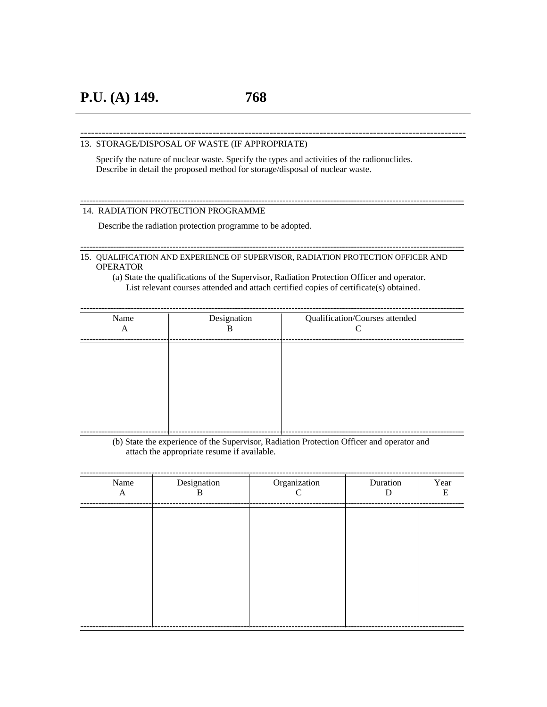------------------------------------------------------------------------------------------------------------

---------------------------------------------------------------------------------------------------------------------------------

#### 13. STORAGE/DISPOSAL OF WASTE (IF APPROPRIATE)

 Specify the nature of nuclear waste. Specify the types and activities of the radionuclides. Describe in detail the proposed method for storage/disposal of nuclear waste.

#### 14. RADIATION PROTECTION PROGRAMME

Describe the radiation protection programme to be adopted.

15. QUALIFICATION AND EXPERIENCE OF SUPERVISOR, RADIATION PROTECTION OFFICER AND **OPERATOR** 

---------------------------------------------------------------------------------------------------------------------------------

(a) State the qualifications of the Supervisor, Radiation Protection Officer and operator. List relevant courses attended and attach certified copies of certificate(s) obtained.

| Name<br>A | Designation<br>B | Qualification/Courses attended |
|-----------|------------------|--------------------------------|
|           |                  |                                |
|           |                  |                                |
|           |                  |                                |
|           |                  |                                |
|           |                  |                                |
|           |                  |                                |

(b) State the experience of the Supervisor, Radiation Protection Officer and operator and attach the appropriate resume if available.

| Name<br>A | Designation<br>B | Organization<br>$\Gamma$ | Duration<br>D | Year<br>Е |
|-----------|------------------|--------------------------|---------------|-----------|
|           |                  |                          |               |           |
|           |                  |                          |               |           |
|           |                  |                          |               |           |
|           |                  |                          |               |           |
|           |                  |                          |               |           |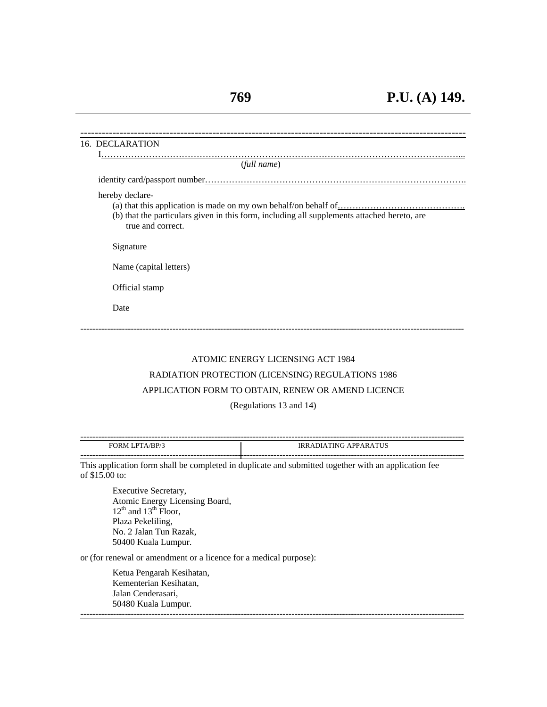| 16. DECLARATION                                                                                                                     |
|-------------------------------------------------------------------------------------------------------------------------------------|
| (full name)                                                                                                                         |
|                                                                                                                                     |
| hereby declare-<br>(b) that the particulars given in this form, including all supplements attached hereto, are<br>true and correct. |
| Signature                                                                                                                           |
| Name (capital letters)                                                                                                              |
| Official stamp                                                                                                                      |
| Date                                                                                                                                |
|                                                                                                                                     |

## ATOMIC ENERGY LICENSING ACT 1984

#### RADIATION PROTECTION (LICENSING) REGULATIONS 1986

### APPLICATION FORM TO OBTAIN, RENEW OR AMEND LICENCE

#### (Regulations 13 and 14)

| --------               |                              |
|------------------------|------------------------------|
| FORM LPTA/BP/3         | <b>IRRADIATING APPARATUS</b> |
| ---------------------- |                              |

This application form shall be completed in duplicate and submitted together with an application fee of \$15.00 to:

 Executive Secretary, Atomic Energy Licensing Board,  $12<sup>th</sup>$  and  $13<sup>th</sup>$  Floor, Plaza Pekeliling, No. 2 Jalan Tun Razak, 50400 Kuala Lumpur.

or (for renewal or amendment or a licence for a medical purpose):

Ketua Pengarah Kesihatan, Kementerian Kesihatan, Jalan Cenderasari, 50480 Kuala Lumpur. ---------------------------------------------------------------------------------------------------------------------------------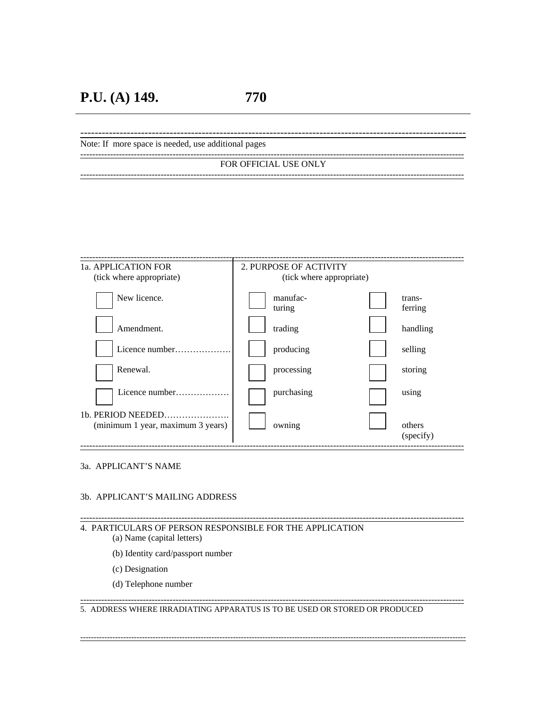------------------------------------------------------------------------------------------------------------ Note: If more space is needed, use additional pages --------------------------------------------------------------------------------------------------------------------------------- FOR OFFICIAL USE ONLY

---------------------------------------------------------------------------------------------------------------------------------

| 1a. APPLICATION FOR<br>(tick where appropriate) | 2. PURPOSE OF ACTIVITY<br>(tick where appropriate) |                     |
|-------------------------------------------------|----------------------------------------------------|---------------------|
| New licence.                                    | manufac-<br>turing                                 | trans-<br>ferring   |
| Amendment.                                      | trading                                            | handling            |
| Licence number.                                 | producing                                          | selling             |
| Renewal.                                        | processing                                         | storing             |
| Licence number                                  | purchasing                                         | using               |
| (minimum 1 year, maximum 3 years)               | owning                                             | others<br>(specify) |

#### 3a. APPLICANT'S NAME

#### 3b. APPLICANT'S MAILING ADDRESS

#### --------------------------------------------------------------------------------------------------------------------------------- 4. PARTICULARS OF PERSON RESPONSIBLE FOR THE APPLICATION

- (a) Name (capital letters)
	- (b) Identity card/passport number
	- (c) Designation
	- (d) Telephone number

#### 5. ADDRESS WHERE IRRADIATING APPARATUS IS TO BE USED OR STORED OR PRODUCED

------------------------------------------------------------------------------------------------------------------------------------------------

---------------------------------------------------------------------------------------------------------------------------------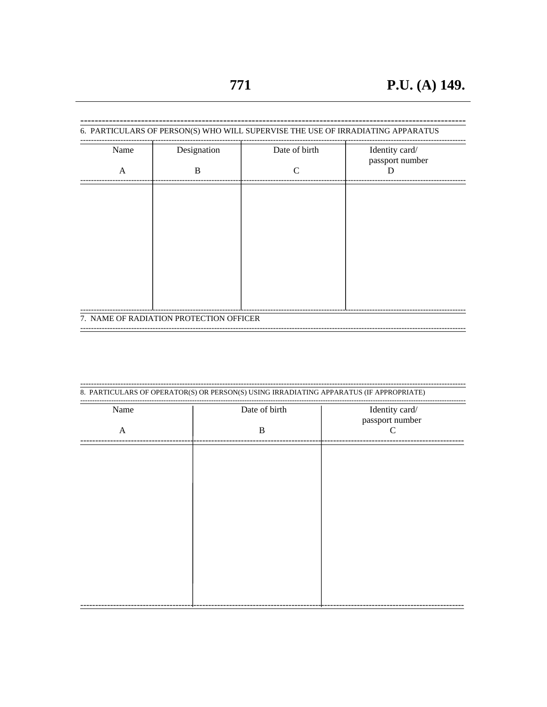| Name | Designation | Date of birth | Identity card/<br>passport number |
|------|-------------|---------------|-----------------------------------|
| A    | B           | C             |                                   |
|      |             |               |                                   |
|      |             |               |                                   |
|      |             |               |                                   |
|      |             |               |                                   |
|      |             |               |                                   |
|      |             |               |                                   |
|      |             |               |                                   |
|      |             |               |                                   |

| Name         | Date of birth | Identity card/<br>passport number |
|--------------|---------------|-----------------------------------|
| $\mathbf{A}$ | B             |                                   |
|              |               |                                   |
|              |               |                                   |
|              |               |                                   |
|              |               |                                   |
|              |               |                                   |
|              |               |                                   |
|              |               |                                   |
|              |               |                                   |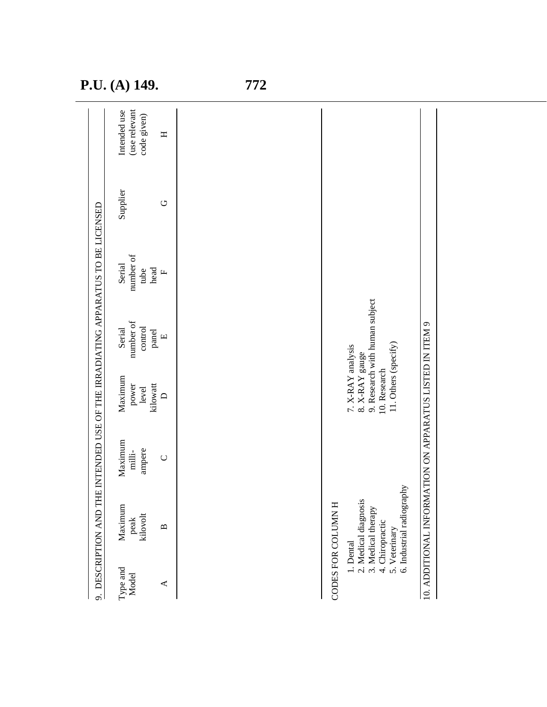| P.U. (A) 149. |  |
|---------------|--|
|---------------|--|

| Type and<br>Model<br>$\blacktriangleleft$ | Maximum<br>kilovolt<br>peak<br>$\mathbf{\underline{\underline{\alpha}}}$                                    | Maximum<br>ampere<br>milli-<br>$\cup$ | Maximum<br>kilowatt<br>power<br>level<br>$\bigcap$                          | number of<br>control<br>Serial<br>panel<br>$\Box$ | number of<br>Serial<br>head<br>tube<br>$\boxed{\mathbf{L}}$ | Supplier<br>U | (use relevant<br>Intended use<br>code given)<br>$\mathbf{H}$ |
|-------------------------------------------|-------------------------------------------------------------------------------------------------------------|---------------------------------------|-----------------------------------------------------------------------------|---------------------------------------------------|-------------------------------------------------------------|---------------|--------------------------------------------------------------|
|                                           |                                                                                                             |                                       |                                                                             |                                                   |                                                             |               |                                                              |
|                                           | CODES FOR COLUMN H                                                                                          |                                       |                                                                             |                                                   |                                                             |               |                                                              |
| 1. Dental                                 | 6. Industrial radiography<br>2. Medical diagnosis<br>3. Medical therapy<br>4. Chiropractic<br>5. Veterinary |                                       | 11. Others (specify)<br>7. X-RAY analysis<br>8. X-RAY gauge<br>10. Research | 9. Research with human subject                    |                                                             |               |                                                              |
|                                           | 10. ADDITIONAL INFOI                                                                                        | RMATION ON APPARATUS LISTED IN ITEM 9 |                                                                             |                                                   |                                                             |               |                                                              |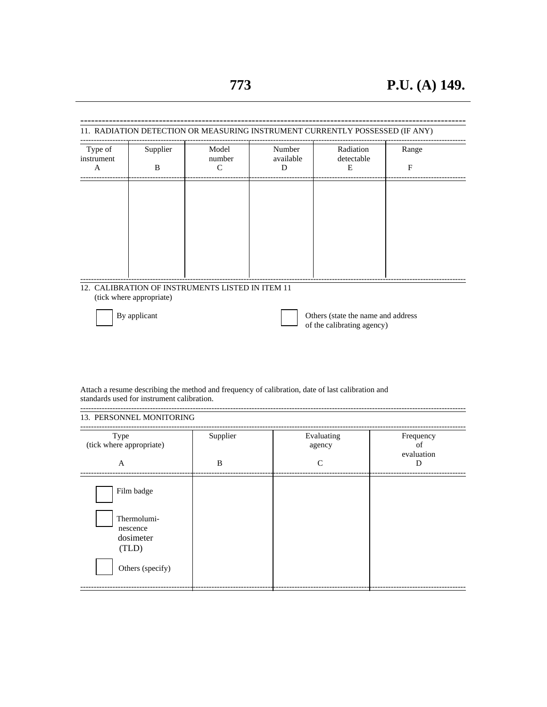| Type of<br>instrument | Supplier                 | Model<br>number                                  | Number<br>available | Radiation<br>detectable                                          | Range        |
|-----------------------|--------------------------|--------------------------------------------------|---------------------|------------------------------------------------------------------|--------------|
| A                     | B                        | $\mathcal{C}$                                    | D                   | E                                                                | $\mathbf{F}$ |
|                       |                          |                                                  |                     |                                                                  |              |
|                       |                          |                                                  |                     |                                                                  |              |
|                       |                          |                                                  |                     |                                                                  |              |
|                       |                          |                                                  |                     |                                                                  |              |
|                       |                          |                                                  |                     |                                                                  |              |
|                       |                          |                                                  |                     |                                                                  |              |
|                       | (tick where appropriate) | 12. CALIBRATION OF INSTRUMENTS LISTED IN ITEM 11 |                     |                                                                  |              |
|                       | By applicant             |                                                  |                     | Others (state the name and address<br>of the calibrating agency) |              |

Attach a resume describing the method and frequency of calibration, date of last calibration and standards used for instrument calibration.

| Type<br>(tick where appropriate)              | Supplier | Evaluating<br>agency | Frequency<br>of<br>evaluation |
|-----------------------------------------------|----------|----------------------|-------------------------------|
| A                                             | B        | $\mathsf{C}$         | D                             |
| Film badge                                    |          |                      |                               |
| Thermolumi-<br>nescence<br>dosimeter<br>(TLD) |          |                      |                               |
| Others (specify)                              |          |                      |                               |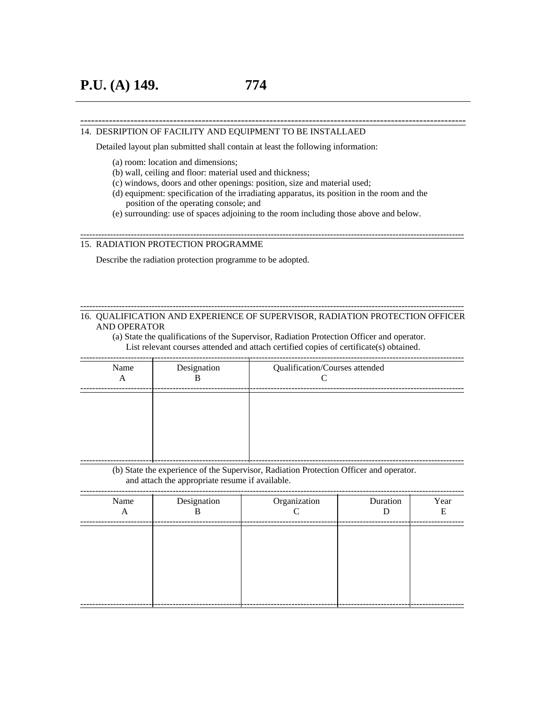#### 14. DESRIPTION OF FACILITY AND EQUIPMENT TO BE INSTALLAED

Detailed layout plan submitted shall contain at least the following information:

- (a) room: location and dimensions;
- (b) wall, ceiling and floor: material used and thickness;
- (c) windows, doors and other openings: position, size and material used;
- (d) equipment: specification of the irradiating apparatus, its position in the room and the position of the operating console; and

---------------------------------------------------------------------------------------------------------------------------------

------------------------------------------------------------------------------------------------------------

(e) surrounding: use of spaces adjoining to the room including those above and below.

#### 15. RADIATION PROTECTION PROGRAMME

Describe the radiation protection programme to be adopted.

#### 16. QUALIFICATION AND EXPERIENCE OF SUPERVISOR, RADIATION PROTECTION OFFICER AND OPERATOR

---------------------------------------------------------------------------------------------------------------------------------

(a) State the qualifications of the Supervisor, Radiation Protection Officer and operator. List relevant courses attended and attach certified copies of certificate(s) obtained.

---------------------------------------------------------------------------------------------------------------------------------

| Name<br>A | Designation<br>B | Qualification/Courses attended<br>⌒ |
|-----------|------------------|-------------------------------------|
|           |                  |                                     |
|           |                  |                                     |
|           |                  |                                     |

(b) State the experience of the Supervisor, Radiation Protection Officer and operator. and attach the appropriate resume if available.

| Name<br>A | Designation<br>B | Organization | Duration<br>D | Year<br>Ε |
|-----------|------------------|--------------|---------------|-----------|
|           |                  |              |               |           |
|           |                  |              |               |           |
|           |                  |              |               |           |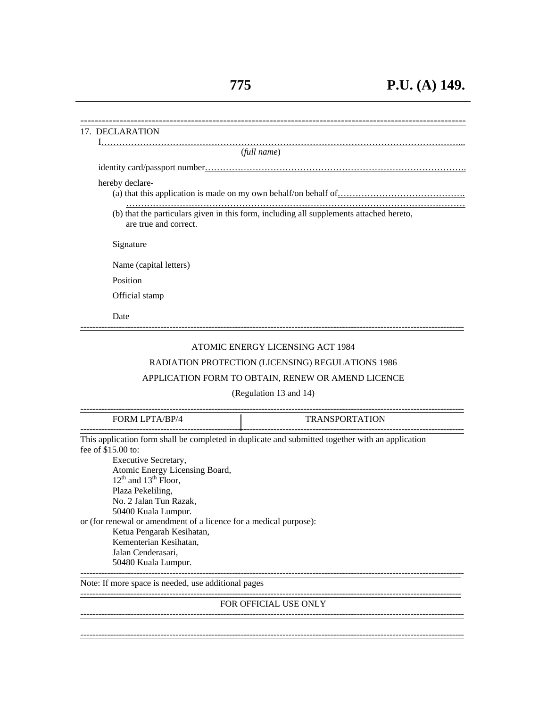| 17. DECLARATION                                                                                |                                                                                                  |
|------------------------------------------------------------------------------------------------|--------------------------------------------------------------------------------------------------|
|                                                                                                | (full name)                                                                                      |
|                                                                                                |                                                                                                  |
| hereby declare-                                                                                |                                                                                                  |
|                                                                                                |                                                                                                  |
| are true and correct.                                                                          | (b) that the particulars given in this form, including all supplements attached hereto,          |
| Signature                                                                                      |                                                                                                  |
| Name (capital letters)                                                                         |                                                                                                  |
| Position                                                                                       |                                                                                                  |
| Official stamp                                                                                 |                                                                                                  |
| Date                                                                                           |                                                                                                  |
|                                                                                                | ATOMIC ENERGY LICENSING ACT 1984                                                                 |
|                                                                                                | RADIATION PROTECTION (LICENSING) REGULATIONS 1986                                                |
|                                                                                                | APPLICATION FORM TO OBTAIN, RENEW OR AMEND LICENCE                                               |
|                                                                                                | (Regulation 13 and 14)                                                                           |
| FORM LPTA/BP/4                                                                                 | <b>TRANSPORTATION</b>                                                                            |
| fee of $$15.00$ to:                                                                            | This application form shall be completed in duplicate and submitted together with an application |
| Executive Secretary,                                                                           |                                                                                                  |
| Atomic Energy Licensing Board,<br>$12th$ and $13th$ Floor.                                     |                                                                                                  |
| Plaza Pekeliling,                                                                              |                                                                                                  |
| No. 2 Jalan Tun Razak,                                                                         |                                                                                                  |
| 50400 Kuala Lumpur.                                                                            |                                                                                                  |
| or (for renewal or amendment of a licence for a medical purpose):<br>Ketua Pengarah Kesihatan, |                                                                                                  |
| Kementerian Kesihatan,                                                                         |                                                                                                  |
| Jalan Cenderasari,                                                                             |                                                                                                  |
| 50480 Kuala Lumpur.                                                                            |                                                                                                  |
| Note: If more space is needed, use additional pages                                            |                                                                                                  |
|                                                                                                | <b>FOR OFFICIAL USE ONLY</b>                                                                     |
|                                                                                                |                                                                                                  |
|                                                                                                |                                                                                                  |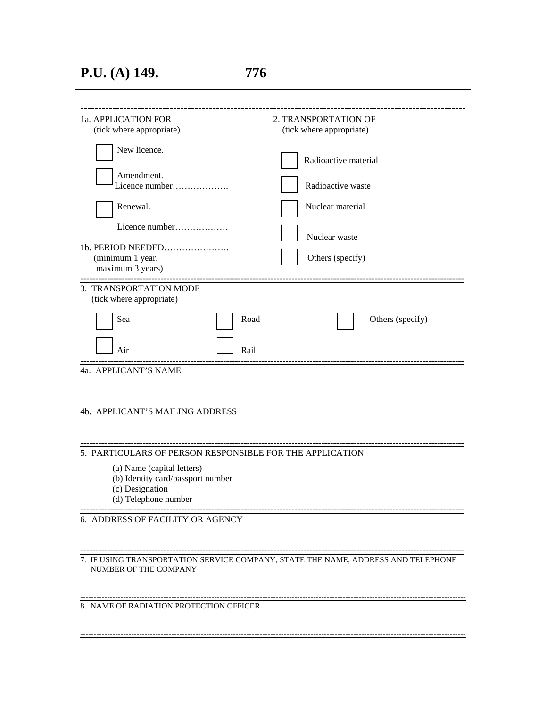## **P.U. (A) 149. 776**

| (tick where appropriate)<br>Radioactive material |
|--------------------------------------------------|
|                                                  |
|                                                  |
| Radioactive waste                                |
| Nuclear material                                 |
| Nuclear waste                                    |
| Others (specify)                                 |
|                                                  |
| Others (specify)                                 |
|                                                  |
|                                                  |

### 4b. APPLICANT'S MAILING ADDRESS

#### 5. PARTICULARS OF PERSON RESPONSIBLE FOR THE APPLICATION

- (a) Name (capital letters)
- (b) Identity card/passport number
- (c) Designation
- (d) Telephone number

---------------------------------------------------------------------------------------------------------------------------------

---------------------------------------------------------------------------------------------------------------------------------

6. ADDRESS OF FACILITY OR AGENCY

--------------------------------------------------------------------------------------------------------------------------------- 7. IF USING TRANSPORTATION SERVICE COMPANY, STATE THE NAME, ADDRESS AND TELEPHONE NUMBER OF THE COMPANY

------------------------------------------------------------------------------------------------------------------------------------------------

------------------------------------------------------------------------------------------------------------------------------------------------ 8. NAME OF RADIATION PROTECTION OFFICER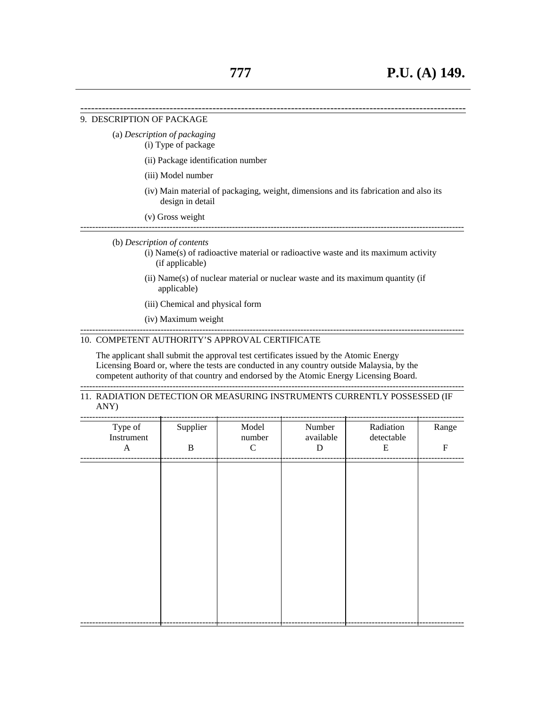#### 9. DESCRIPTION OF PACKAGE

- (a) *Description of packaging*
	- (i) Type of package
	- (ii) Package identification number
	- (iii) Model number
	- (iv) Main material of packaging, weight, dimensions and its fabrication and also its design in detail

------------------------------------------------------------------------------------------------------------

 (v) Gross weight ---------------------------------------------------------------------------------------------------------------------------------

#### (b) *Description of contents*

- (i) Name(s) of radioactive material or radioactive waste and its maximum activity (if applicable)
- (ii) Name(s) of nuclear material or nuclear waste and its maximum quantity (if applicable)

---------------------------------------------------------------------------------------------------------------------------------

- (iii) Chemical and physical form
- (iv) Maximum weight

#### 10. COMPETENT AUTHORITY'S APPROVAL CERTIFICATE

 The applicant shall submit the approval test certificates issued by the Atomic Energy Licensing Board or, where the tests are conducted in any country outside Malaysia, by the competent authority of that country and endorsed by the Atomic Energy Licensing Board.

---------------------------------------------------------------------------------------------------------------------------------

#### 11. RADIATION DETECTION OR MEASURING INSTRUMENTS CURRENTLY POSSESSED (IF ANY)

| Type of<br>Instrument<br>$\boldsymbol{\mathsf{A}}$ | Supplier<br>$\, {\bf B}$ | Model<br>number<br>$\mathbf C$ | Number<br>available<br>${\bf D}$ | Radiation<br>detectable<br>E | Range<br>${\bf F}$ |
|----------------------------------------------------|--------------------------|--------------------------------|----------------------------------|------------------------------|--------------------|
|                                                    |                          |                                |                                  |                              |                    |
|                                                    |                          |                                |                                  |                              |                    |
|                                                    |                          |                                |                                  |                              |                    |
|                                                    |                          |                                |                                  |                              |                    |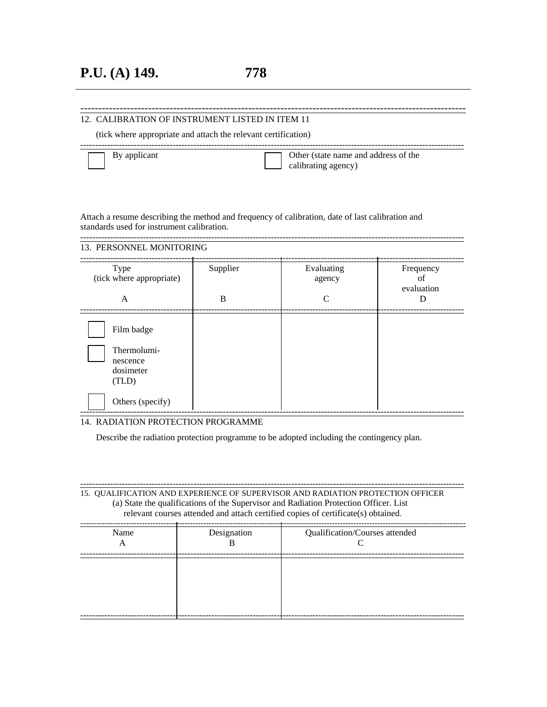### ------------------------------------------------------------------------------------------------------------ 12. CALIBRATION OF INSTRUMENT LISTED IN ITEM 11

(tick where appropriate and attach the relevant certification)

By applicant **Department** Other (state name and address of the calibrating agency)

Attach a resume describing the method and frequency of calibration, date of last calibration and standards used for instrument calibration.

--------------------------------------------------------------------------------------------------------------------------------- 13. PERSONNEL MONITORING

---------------------------------------------------------------------------------------------------------------------------------

| Type<br>(tick where appropriate)<br>A                                           | Supplier<br>B | Evaluating<br>agency<br>$\mathsf{C}$ | Frequency<br>οf<br>evaluation<br>D |
|---------------------------------------------------------------------------------|---------------|--------------------------------------|------------------------------------|
| Film badge<br>Thermolumi-<br>nescence<br>dosimeter<br>(TLD)<br>Others (specify) |               |                                      |                                    |

## 14. RADIATION PROTECTION PROGRAMME

Describe the radiation protection programme to be adopted including the contingency plan.

--------------------------------------------------------------------------------------------------------------------------------- 15. QUALIFICATION AND EXPERIENCE OF SUPERVISOR AND RADIATION PROTECTION OFFICER (a) State the qualifications of the Supervisor and Radiation Protection Officer. List relevant courses attended and attach certified copies of certificate(s) obtained.

| Name<br>A | Designation | Qualification/Courses attended |
|-----------|-------------|--------------------------------|
|           |             |                                |
|           |             |                                |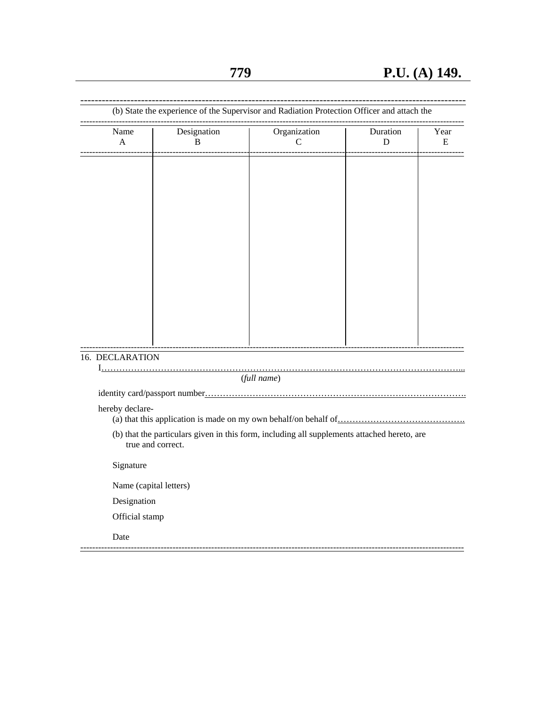------------------------------------------------------------------------------------------------------------

|                        | (b) State the experience of the Supervisor and Radiation Protection Officer and attach the  |                   |               |                   |
|------------------------|---------------------------------------------------------------------------------------------|-------------------|---------------|-------------------|
| Name<br>A              | Designation<br>B                                                                            | Organization<br>C | Duration<br>D | Year<br>${\bf E}$ |
|                        |                                                                                             |                   |               |                   |
|                        |                                                                                             |                   |               |                   |
|                        |                                                                                             |                   |               |                   |
|                        |                                                                                             |                   |               |                   |
|                        |                                                                                             |                   |               |                   |
|                        |                                                                                             |                   |               |                   |
|                        |                                                                                             |                   |               |                   |
|                        |                                                                                             |                   |               |                   |
|                        |                                                                                             |                   |               |                   |
|                        |                                                                                             |                   |               |                   |
| 16. DECLARATION        |                                                                                             |                   |               |                   |
|                        |                                                                                             | (full name)       |               |                   |
|                        |                                                                                             |                   |               |                   |
| hereby declare-        |                                                                                             |                   |               |                   |
|                        | (b) that the particulars given in this form, including all supplements attached hereto, are |                   |               |                   |
|                        | true and correct.                                                                           |                   |               |                   |
| Signature              |                                                                                             |                   |               |                   |
| Name (capital letters) |                                                                                             |                   |               |                   |
| Designation            |                                                                                             |                   |               |                   |
| Official stamp         |                                                                                             |                   |               |                   |
| Date                   |                                                                                             |                   |               |                   |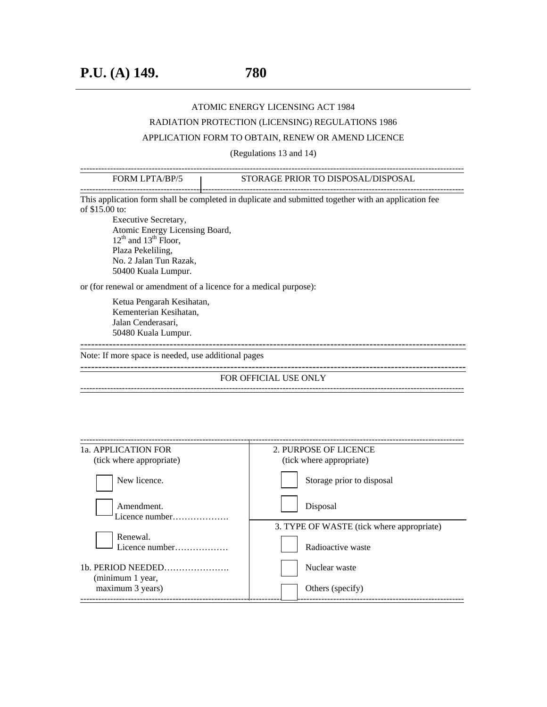## ATOMIC ENERGY LICENSING ACT 1984

## RADIATION PROTECTION (LICENSING) REGULATIONS 1986

## APPLICATION FORM TO OBTAIN, RENEW OR AMEND LICENCE

(Regulations 13 and 14)

| STORAGE PRIOR TO DISPOSAL/DISPOSAL                                                                                                                                        |
|---------------------------------------------------------------------------------------------------------------------------------------------------------------------------|
| This application form shall be completed in duplicate and submitted together with an application fee<br>or (for renewal or amendment of a licence for a medical purpose): |
| Note: If more space is needed, use additional pages                                                                                                                       |
| FOR OFFICIAL USE ONLY                                                                                                                                                     |
|                                                                                                                                                                           |
| 2. PURPOSE OF LICENCE                                                                                                                                                     |
| (tick where appropriate)                                                                                                                                                  |
| Storage prior to disposal                                                                                                                                                 |
| Disposal<br>3 TYPE OF WASTE <i>(tick where appropriate)</i>                                                                                                               |
|                                                                                                                                                                           |

|                  | 3. TYPE OF WASTE (tick where appropriate) |
|------------------|-------------------------------------------|
| Renewal.         | Radioactive waste                         |
| (minimum 1 year, | Nuclear waste                             |
| maximum 3 years) | Others (specify)                          |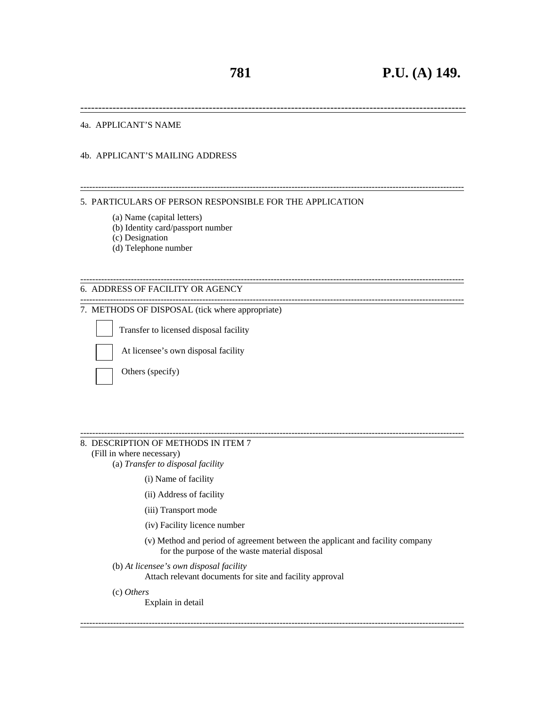------------------------------------------------------------------------------------------------------------

---------------------------------------------------------------------------------------------------------------------------------

---------------------------------------------------------------------------------------------------------------------------------

#### 4a. APPLICANT'S NAME

#### 4b. APPLICANT'S MAILING ADDRESS

## --------------------------------------------------------------------------------------------------------------------------------- 5. PARTICULARS OF PERSON RESPONSIBLE FOR THE APPLICATION

- (a) Name (capital letters)
- (b) Identity card/passport number
- (c) Designation
- (d) Telephone number

#### 6. ADDRESS OF FACILITY OR AGENCY

## 7. METHODS OF DISPOSAL (tick where appropriate)

Transfer to licensed disposal facility

At licensee's own disposal facility

Others (specify)

#### --------------------------------------------------------------------------------------------------------------------------------- 8. DESCRIPTION OF METHODS IN ITEM 7

- (Fill in where necessary)
	- (a) *Transfer to disposal facility* 
		- (i) Name of facility
		- (ii) Address of facility
		- (iii) Transport mode
		- (iv) Facility licence number
		- (v) Method and period of agreement between the applicant and facility company for the purpose of the waste material disposal

---------------------------------------------------------------------------------------------------------------------------------

(b) *At licensee's own disposal facility*

Attach relevant documents for site and facility approval

(c) *Others*

Explain in detail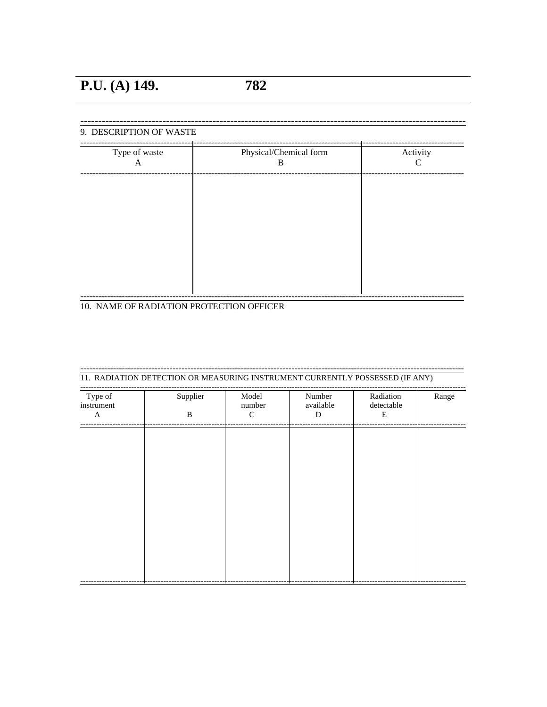| C | B | A |
|---|---|---|
|   |   |   |
|   |   |   |
|   |   |   |
|   |   |   |
|   |   |   |
|   |   |   |
|   |   |   |
|   |   |   |
|   |   |   |

10. NAME OF RADIATION PROTECTION OFFICER

| Type of<br>instrument | Supplier | Model<br>number | Number<br>available | Radiation<br>detectable | Range |
|-----------------------|----------|-----------------|---------------------|-------------------------|-------|
| $\mathbf{A}$          | B        | $\mathcal{C}$   | D                   | E                       |       |
|                       |          |                 |                     |                         |       |
|                       |          |                 |                     |                         |       |
|                       |          |                 |                     |                         |       |
|                       |          |                 |                     |                         |       |
|                       |          |                 |                     |                         |       |
|                       |          |                 |                     |                         |       |
|                       |          |                 |                     |                         |       |
|                       |          |                 |                     |                         |       |
|                       |          |                 |                     |                         |       |
|                       |          |                 |                     |                         |       |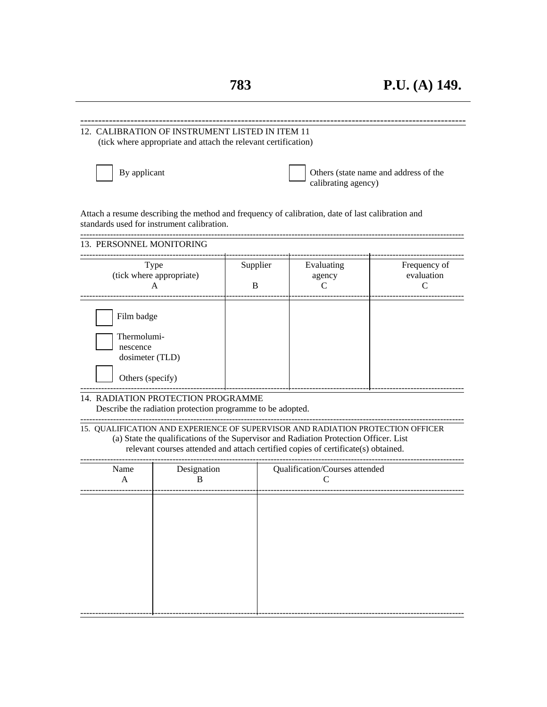------------------------------------------------------------------------------------------------------------

| 12. CALIBRATION OF INSTRUMENT LISTED IN ITEM 11                                                                    | (tick where appropriate and attach the relevant certification) |          |                                                                                                                                                                                                                                                               |                                       |
|--------------------------------------------------------------------------------------------------------------------|----------------------------------------------------------------|----------|---------------------------------------------------------------------------------------------------------------------------------------------------------------------------------------------------------------------------------------------------------------|---------------------------------------|
| By applicant                                                                                                       |                                                                |          | calibrating agency)                                                                                                                                                                                                                                           | Others (state name and address of the |
| standards used for instrument calibration.                                                                         |                                                                |          | Attach a resume describing the method and frequency of calibration, date of last calibration and                                                                                                                                                              |                                       |
| 13. PERSONNEL MONITORING                                                                                           |                                                                |          |                                                                                                                                                                                                                                                               |                                       |
|                                                                                                                    | Type<br>(tick where appropriate)                               | Supplier | Evaluating<br>agency                                                                                                                                                                                                                                          | Frequency of<br>evaluation            |
|                                                                                                                    | A                                                              | B        | С                                                                                                                                                                                                                                                             | C                                     |
| Film badge<br>Thermolumi-<br>nescence<br>dosimeter (TLD)<br>Others (specify)<br>14. RADIATION PROTECTION PROGRAMME | Describe the radiation protection programme to be adopted.     |          | 15. QUALIFICATION AND EXPERIENCE OF SUPERVISOR AND RADIATION PROTECTION OFFICER<br>(a) State the qualifications of the Supervisor and Radiation Protection Officer. List<br>relevant courses attended and attach certified copies of certificate(s) obtained. |                                       |
| Name<br>A                                                                                                          | Designation<br>B                                               |          | Qualification/Courses attended<br>C                                                                                                                                                                                                                           |                                       |
|                                                                                                                    |                                                                |          |                                                                                                                                                                                                                                                               |                                       |

---------------------------------------------------------------------------------------------------------------------------------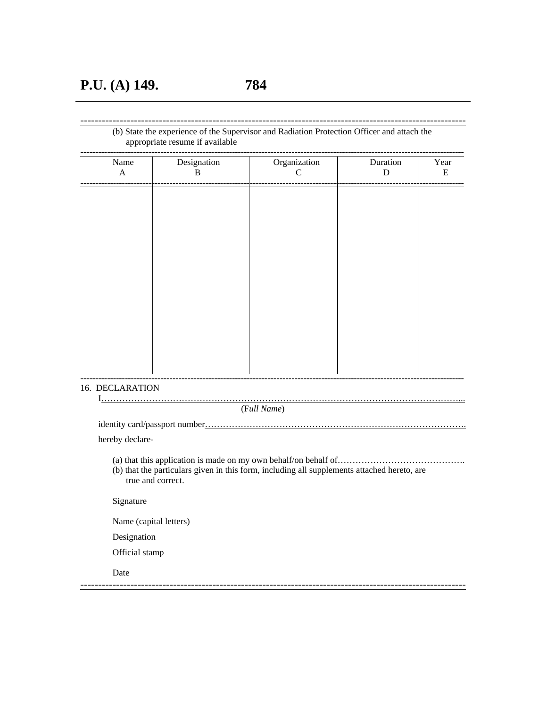## (b) State the experience of the Supervisor and Radiation Protection Officer and attach the appropriate resume if available

------------------------------------------------------------------------------------------------------------

| Name<br>$\mathbf A$ | Designation<br>B | Organization<br>$\mathcal{C}$ | Duration<br>D | Year<br>E |
|---------------------|------------------|-------------------------------|---------------|-----------|
|                     |                  |                               |               |           |
|                     |                  |                               |               |           |
|                     |                  |                               |               |           |
|                     |                  |                               |               |           |
|                     |                  |                               |               |           |
|                     |                  |                               |               |           |
|                     |                  |                               |               |           |
|                     |                  |                               |               |           |
|                     |                  |                               |               |           |
|                     |                  |                               |               |           |
|                     |                  |                               |               |           |
|                     |                  |                               |               |           |
|                     |                  |                               |               |           |
|                     |                  |                               |               |           |
|                     |                  |                               |               |           |
|                     |                  |                               |               |           |
| 16. DECLARATION     |                  |                               |               |           |
|                     |                  |                               |               |           |

(F*ull Name*)

identity card/passport number…………………………………………………………………………….

hereby declare-

- (a) that this application is made on my own behalf/on behalf of  $\frac{1}{1}$
- (b) that the particulars given in this form, including all supplements attached hereto, are true and correct.

------------------------------------------------------------------------------------------------------------

Signature

Name (capital letters)

Designation

Official stamp

Date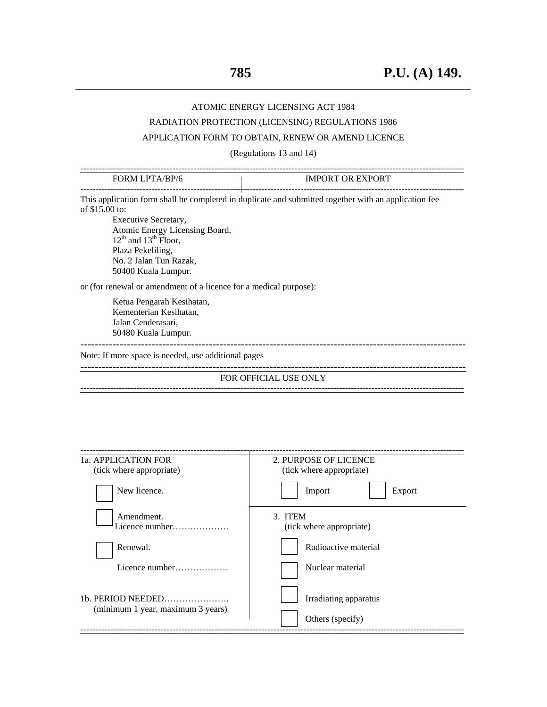## ATOMIC ENERGY LICENSING ACT 1984

## RADIATION PROTECTION (LICENSING) REGULATIONS 1986

## APPLICATION FORM TO OBTAIN, RENEW OR AMEND LICENCE

(Regulations 13 and 14)

| <b>FORM LPTA/BP/6</b>                                                                                                                                                            | <b>IMPORT OR EXPORT</b>                                                                              |
|----------------------------------------------------------------------------------------------------------------------------------------------------------------------------------|------------------------------------------------------------------------------------------------------|
| of \$15.00 to:<br>Executive Secretary,<br>Atomic Energy Licensing Board,<br>$12^{th}$ and $13^{th}$ Floor,<br>Plaza Pekeliling,<br>No. 2 Jalan Tun Razak,<br>50400 Kuala Lumpur. | This application form shall be completed in duplicate and submitted together with an application fee |
| or (for renewal or amendment of a licence for a medical purpose):                                                                                                                |                                                                                                      |
| Ketua Pengarah Kesihatan,<br>Kementerian Kesihatan,<br>Jalan Cenderasari,<br>50480 Kuala Lumpur.                                                                                 |                                                                                                      |
| Note: If more space is needed, use additional pages                                                                                                                              |                                                                                                      |
|                                                                                                                                                                                  | FOR OFFICIAL USE ONLY                                                                                |
|                                                                                                                                                                                  |                                                                                                      |
| 1a. APPLICATION FOR                                                                                                                                                              | 2. PURPOSE OF LICENCE                                                                                |
| (tick where appropriate)<br>New licence.                                                                                                                                         | (tick where appropriate)<br>Import<br>Export                                                         |
| Amendment.<br>Licence number                                                                                                                                                     | 3. ITEM<br>(tick where appropriate)                                                                  |
| Renewal.                                                                                                                                                                         | Radioactive material                                                                                 |
| Licence number                                                                                                                                                                   | Nuclear material                                                                                     |
| 1b. PERIOD NEEDED<br>(minimum 1 year, maximum 3 years)                                                                                                                           | Irradiating apparatus<br>Others (specify)                                                            |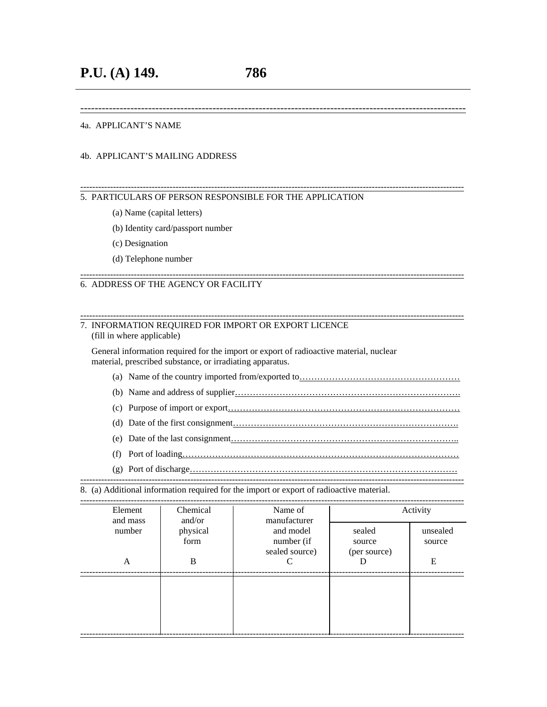------------------------------------------------------------------------------------------------------------

### 4a. APPLICANT'S NAME

#### 4b. APPLICANT'S MAILING ADDRESS

#### --------------------------------------------------------------------------------------------------------------------------------- 5. PARTICULARS OF PERSON RESPONSIBLE FOR THE APPLICATION

- (a) Name (capital letters)
- (b) Identity card/passport number
- (c) Designation
- (d) Telephone number

#### ---------------------------------------------------------------------------------------------------------------------------------

## 6. ADDRESS OF THE AGENCY OR FACILITY

#### 7. INFORMATION REQUIRED FOR IMPORT OR EXPORT LICENCE (fill in where applicable)

 General information required for the import or export of radioactive material, nuclear material, prescribed substance, or irradiating apparatus.

(a) Name of the country imported from/exported to………………………………………………

---------------------------------------------------------------------------------------------------------------------------------

- (b) Name and address of supplier………………………………………………………………….
- (c) Purpose of import or export……………………………………………………………………
- (d) Date of the first consignment………………………………………………………………….
- (e) Date of the last consignment…………………………………………………………………..
- (f) Port of loading…………………………………………………………………………………
- (g) Port of discharge………………………………………………………………………………

--------------------------------------------------------------------------------------------------------------------------------- 8. (a) Additional information required for the import or export of radioactive material.

| Element<br>and mass | Chemical<br>and/or | Name of<br>manufacturer                   |                                  | Activity           |
|---------------------|--------------------|-------------------------------------------|----------------------------------|--------------------|
| number              | physical<br>form   | and model<br>number (if<br>sealed source) | sealed<br>source<br>(per source) | unsealed<br>source |
| A                   | B                  |                                           |                                  | E                  |
|                     |                    |                                           |                                  |                    |
|                     |                    |                                           |                                  |                    |
|                     |                    |                                           |                                  |                    |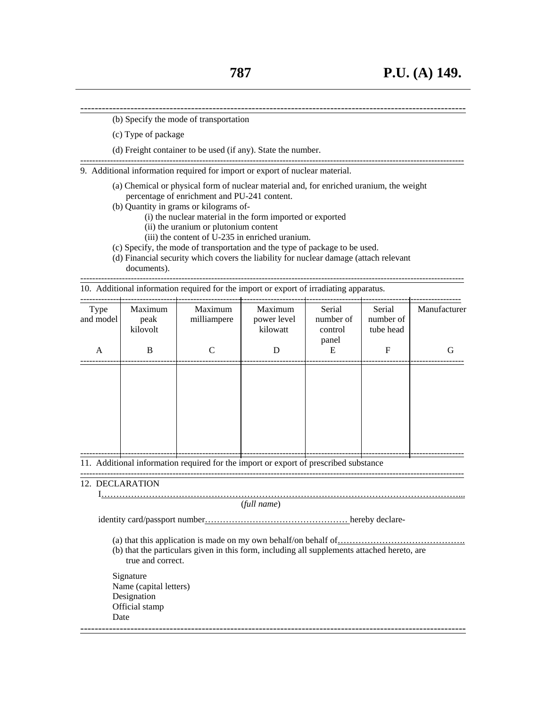------------------------------------------------------------------------------------------------------------ (b) Specify the mode of transportation

- (c) Type of package
- (d) Freight container to be used (if any). State the number.

9. Additional information required for import or export of nuclear material.

(a) Chemical or physical form of nuclear material and, for enriched uranium, the weight percentage of enrichment and PU-241 content.

---------------------------------------------------------------------------------------------------------------------------------

- (b) Quantity in grams or kilograms of-
	- (i) the nuclear material in the form imported or exported
	- (ii) the uranium or plutonium content
	- (iii) the content of U-235 in enriched uranium.
- (c) Specify, the mode of transportation and the type of package to be used.
- (d) Financial security which covers the liability for nuclear damage (attach relevant documents).

| 10. Additional information required for the import or export of irradiating apparatus. |
|----------------------------------------------------------------------------------------|

| Type<br>and model | Maximum<br>peak<br>kilovolt | Maximum<br>milliampere                                                               | Maximum<br>power level<br>kilowatt | Serial<br>number of<br>control<br>panel | Serial<br>number of<br>tube head | Manufacturer |
|-------------------|-----------------------------|--------------------------------------------------------------------------------------|------------------------------------|-----------------------------------------|----------------------------------|--------------|
| A                 | B                           | $\mathcal{C}$                                                                        | D                                  | E                                       | $\mathbf F$                      | G            |
|                   |                             |                                                                                      |                                    |                                         |                                  |              |
|                   |                             |                                                                                      |                                    |                                         |                                  |              |
|                   |                             |                                                                                      |                                    |                                         |                                  |              |
|                   |                             |                                                                                      |                                    |                                         |                                  |              |
|                   |                             |                                                                                      |                                    |                                         |                                  |              |
|                   |                             | 11. Additional information required for the import or export of prescribed substance |                                    |                                         |                                  |              |

---------------------------------------------------------------------------------------------------------------------------------

## 12. DECLARATION

 I…………………………………………………………………………………………………………... (*full name*)

identity card/passport number………………………………………… hereby declare-

(a) that this application is made on my own behalf/on behalf of…………………………………….

(b) that the particulars given in this form, including all supplements attached hereto, are true and correct.

------------------------------------------------------------------------------------------------------------

 Signature Name (capital letters) Designation Official stamp Date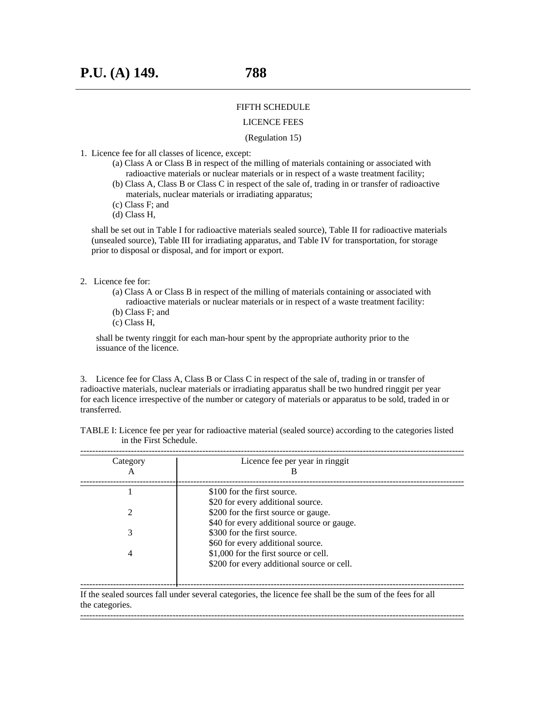#### FIFTH SCHEDULE

#### LICENCE FEES

## (Regulation 15)

- 1. Licence fee for all classes of licence, except:
	- (a) Class A or Class B in respect of the milling of materials containing or associated with radioactive materials or nuclear materials or in respect of a waste treatment facility;
	- (b) Class A, Class B or Class C in respect of the sale of, trading in or transfer of radioactive materials, nuclear materials or irradiating apparatus;
	- (c) Class F; and
	- (d) Class H,

 shall be set out in Table I for radioactive materials sealed source), Table II for radioactive materials (unsealed source), Table III for irradiating apparatus, and Table IV for transportation, for storage prior to disposal or disposal, and for import or export.

#### 2. Licence fee for:

- (a) Class A or Class B in respect of the milling of materials containing or associated with radioactive materials or nuclear materials or in respect of a waste treatment facility:
- (b) Class F; and
- (c) Class H,

 shall be twenty ringgit for each man-hour spent by the appropriate authority prior to the issuance of the licence.

3. Licence fee for Class A, Class B or Class C in respect of the sale of, trading in or transfer of radioactive materials, nuclear materials or irradiating apparatus shall be two hundred ringgit per year for each licence irrespective of the number or category of materials or apparatus to be sold, traded in or transferred.

TABLE I: Licence fee per year for radioactive material (sealed source) according to the categories listed in the First Schedule.

| Category | Licence fee per year in ringgit            |
|----------|--------------------------------------------|
|          |                                            |
|          | \$100 for the first source.                |
|          | \$20 for every additional source.          |
|          | \$200 for the first source or gauge.       |
|          | \$40 for every additional source or gauge. |
|          | \$300 for the first source.                |
|          | \$60 for every additional source.          |
|          | \$1,000 for the first source or cell.      |
|          | \$200 for every additional source or cell. |

If the sealed sources fall under several categories, the licence fee shall be the sum of the fees for all the categories. ---------------------------------------------------------------------------------------------------------------------------------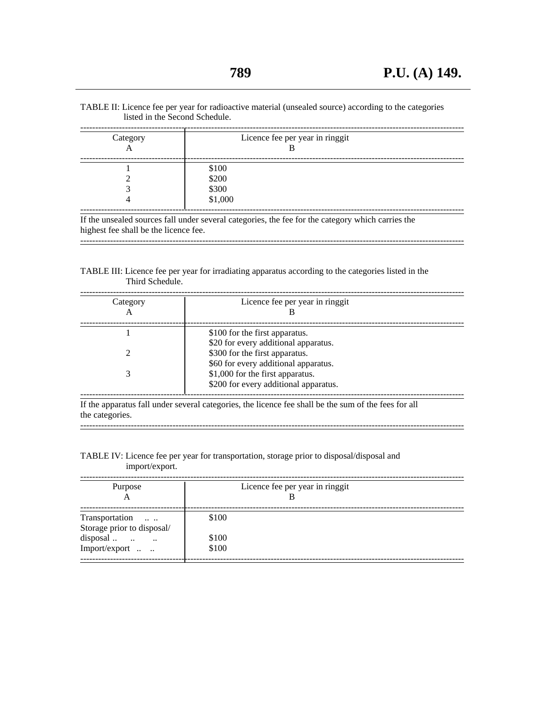TABLE II: Licence fee per year for radioactive material (unsealed source) according to the categories listed in the Second Schedule.

| Category<br>А | Licence fee per year in ringgit |
|---------------|---------------------------------|
|               | \$100                           |
|               | \$200                           |
|               | \$300                           |
|               | \$1,000                         |

---------------------------------------------------------------------------------------------------------------------------------

highest fee shall be the licence fee.

TABLE III: Licence fee per year for irradiating apparatus according to the categories listed in the Third Schedule.

| Category<br>A | Licence fee per year in ringgit       |
|---------------|---------------------------------------|
|               | \$100 for the first apparatus.        |
|               | \$20 for every additional apparatus.  |
|               | \$300 for the first apparatus.        |
|               | \$60 for every additional apparatus.  |
|               | \$1,000 for the first apparatus.      |
|               | \$200 for every additional apparatus. |

---------------------------------------------------------------------------------------------------------------------------------

the categories.

### TABLE IV: Licence fee per year for transportation, storage prior to disposal/disposal and import/export.

| Purpose<br>А                                 | Licence fee per year in ringgit |  |
|----------------------------------------------|---------------------------------|--|
| Transportation<br>Storage prior to disposal/ | \$100                           |  |
| disposal                                     | \$100                           |  |
| Import/export                                | \$100                           |  |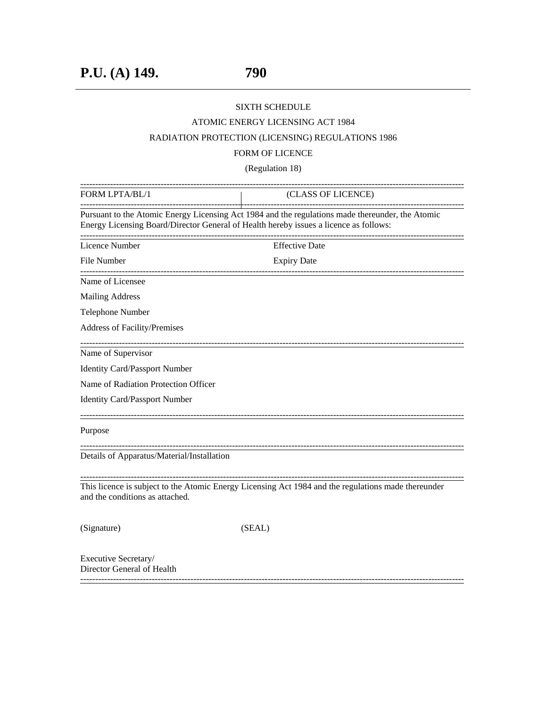## SIXTH SCHEDULE

## ATOMIC ENERGY LICENSING ACT 1984

## RADIATION PROTECTION (LICENSING) REGULATIONS 1986

## FORM OF LICENCE

(Regulation 18)

| FORM LPTA/BL/1                                                                        | (CLASS OF LICENCE)                                                                                                         |
|---------------------------------------------------------------------------------------|----------------------------------------------------------------------------------------------------------------------------|
| Energy Licensing Board/Director General of Health hereby issues a licence as follows: | Pursuant to the Atomic Energy Licensing Act 1984 and the regulations made thereunder, the Atomic<br>______________________ |
| Licence Number                                                                        | <b>Effective Date</b>                                                                                                      |
| File Number                                                                           | <b>Expiry Date</b>                                                                                                         |
| Name of Licensee                                                                      |                                                                                                                            |
| <b>Mailing Address</b>                                                                |                                                                                                                            |
| Telephone Number                                                                      |                                                                                                                            |
| Address of Facility/Premises                                                          |                                                                                                                            |
| Name of Supervisor                                                                    |                                                                                                                            |
| <b>Identity Card/Passport Number</b>                                                  |                                                                                                                            |
| Name of Radiation Protection Officer                                                  |                                                                                                                            |
| <b>Identity Card/Passport Number</b>                                                  |                                                                                                                            |
| Purpose                                                                               |                                                                                                                            |
| Details of Apparatus/Material/Installation                                            |                                                                                                                            |
| and the conditions as attached.                                                       | This licence is subject to the Atomic Energy Licensing Act 1984 and the regulations made thereunder                        |
| (Signature)                                                                           | (SEAL)                                                                                                                     |
| Executive Secretary/<br>Director General of Health                                    |                                                                                                                            |

---------------------------------------------------------------------------------------------------------------------------------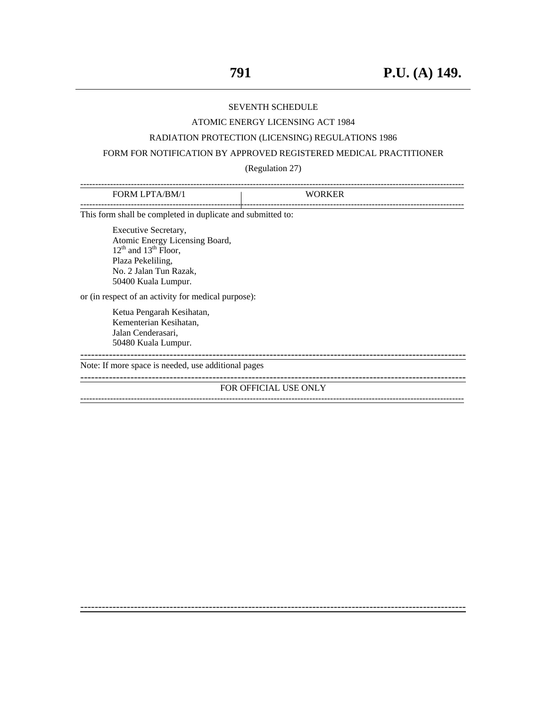#### SEVENTH SCHEDULE

#### ATOMIC ENERGY LICENSING ACT 1984

### RADIATION PROTECTION (LICENSING) REGULATIONS 1986

## FORM FOR NOTIFICATION BY APPROVED REGISTERED MEDICAL PRACTITIONER

### (Regulation 27)

| <b>FORM LPTA/BM/1</b>                                                                                                                                          | <b>WORKER</b>                |
|----------------------------------------------------------------------------------------------------------------------------------------------------------------|------------------------------|
| This form shall be completed in duplicate and submitted to:                                                                                                    |                              |
| Executive Secretary,<br>Atomic Energy Licensing Board,<br>$12^{th}$ and $13^{th}$ Floor,<br>Plaza Pekeliling,<br>No. 2 Jalan Tun Razak,<br>50400 Kuala Lumpur. |                              |
| or (in respect of an activity for medical purpose):                                                                                                            |                              |
| Ketua Pengarah Kesihatan,<br>Kementerian Kesihatan,<br>Jalan Cenderasari,<br>50480 Kuala Lumpur.                                                               |                              |
| Note: If more space is needed, use additional pages                                                                                                            |                              |
|                                                                                                                                                                | <b>FOR OFFICIAL USE ONLY</b> |
|                                                                                                                                                                |                              |

------------------------------------------------------------------------------------------------------------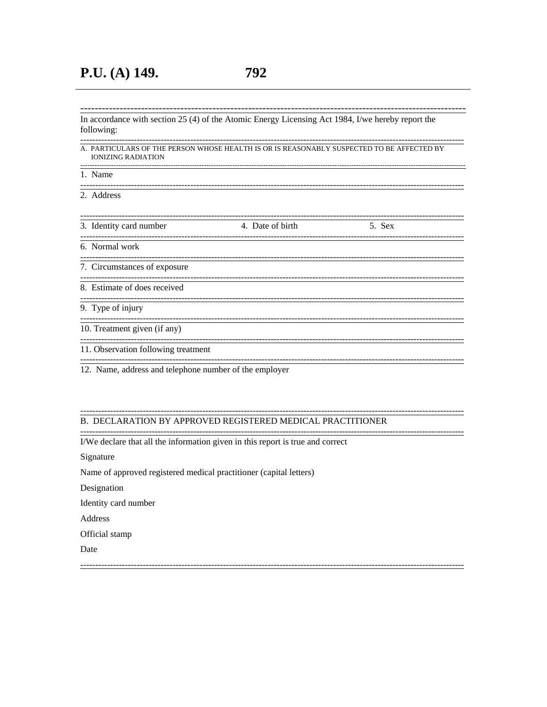In accordance with section 25 (4) of the Atomic Energy Licensing Act 1984, I/we hereby report the following: 

#### --------------A. PARTICULARS OF THE PERSON WHOSE HEALTH IS OR IS REASONABLY SUSPECTED TO BE AFFECTED BY **IONIZING RADIATION**

------

---------------------------

1. Name

------------

-----------2. Address

| 3. Identity card number             | 4. Date of birth | 5. Sex |  |
|-------------------------------------|------------------|--------|--|
| 6. Normal work                      |                  |        |  |
| 7. Circumstances of exposure        |                  |        |  |
| 8. Estimate of does received        |                  |        |  |
| 9. Type of injury                   |                  |        |  |
| 10. Treatment given (if any)        |                  |        |  |
| 11. Observation following treatment |                  |        |  |

12. Name, address and telephone number of the employer

#### B. DECLARATION BY APPROVED REGISTERED MEDICAL PRACTITIONER

I/We declare that all the information given in this report is true and correct

Signature

Name of approved registered medical practitioner (capital letters)

Designation

Identity card number

Address

Official stamp

Date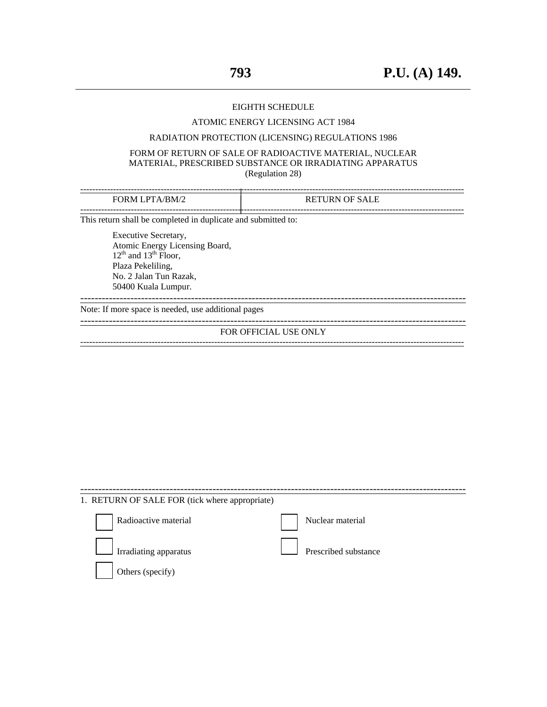#### EIGHTH SCHEDULE

#### ATOMIC ENERGY LICENSING ACT 1984

### RADIATION PROTECTION (LICENSING) REGULATIONS 1986

#### FORM OF RETURN OF SALE OF RADIOACTIVE MATERIAL, NUCLEAR MATERIAL, PRESCRIBED SUBSTANCE OR IRRADIATING APPARATUS (Regulation 28)

| FORM LPTA/BM/2                                                | <b>RETURN OF SALE</b> |
|---------------------------------------------------------------|-----------------------|
| This return shall be completed in duplicate and submitted to: |                       |
| Executive Secretary,                                          |                       |

Atomic Energy Licensing Board,  $12<sup>th</sup>$  and  $13<sup>th</sup>$  Floor, Plaza Pekeliling, No. 2 Jalan Tun Razak, 50400 Kuala Lumpur.

Note: If more space is needed, use additional pages

------------------------------------------------------------------------------------------------------------

------------------------------------------------------------------------------------------------------------

#### FOR OFFICIAL USE ONLY ---------------------------------------------------------------------------------------------------------------------------------

| 1. RETURN OF SALE FOR (tick where appropriate) |                      |
|------------------------------------------------|----------------------|
| Radioactive material                           | Nuclear material     |
| $\Box$ Irradiating apparatus                   | Prescribed substance |
| Others (specify)                               |                      |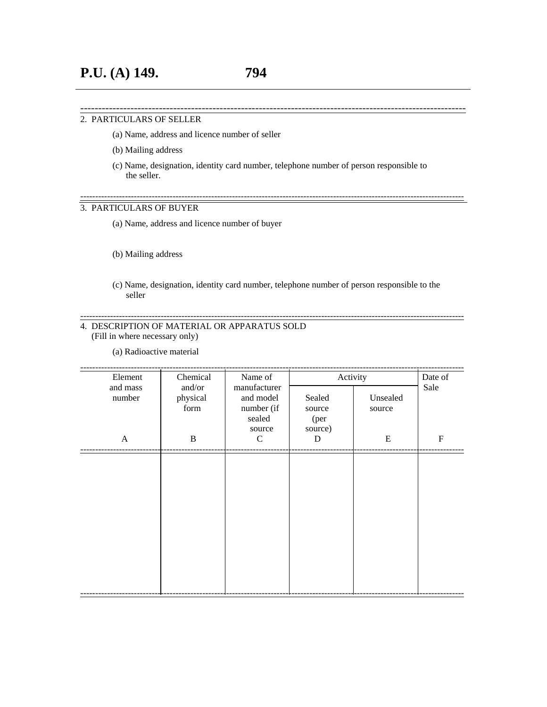#### 2. PARTICULARS OF SELLER

- (a) Name, address and licence number of seller
- (b) Mailing address
- (c) Name, designation, identity card number, telephone number of person responsible to the seller.

------------------------------------------------------------------------------------------------------------

---------------------------------------------------------------------------------------------------------------------------------

## 3. PARTICULARS OF BUYER

(a) Name, address and licence number of buyer

#### (b) Mailing address

(c) Name, designation, identity card number, telephone number of person responsible to the seller

---------------------------------------------------------------------------------------------------------------------------------

## 4. DESCRIPTION OF MATERIAL OR APPARATUS SOLD (Fill in where necessary only)

(a) Radioactive material

| Element                                                                                     | Chemical | Name of          | Activity           |           | Date of   |
|---------------------------------------------------------------------------------------------|----------|------------------|--------------------|-----------|-----------|
| manufacturer<br>and mass<br>and/or<br>and model<br>number<br>physical<br>number (if<br>form |          | Sealed<br>source | Unsealed<br>source | Sale      |           |
|                                                                                             |          | sealed<br>source | (per<br>source)    |           |           |
| $\mathbf{A}$                                                                                | B        | $\mathcal{C}$    | D                  | ${\bf E}$ | ${\bf F}$ |
|                                                                                             |          |                  |                    |           |           |
|                                                                                             |          |                  |                    |           |           |
|                                                                                             |          |                  |                    |           |           |
|                                                                                             |          |                  |                    |           |           |
|                                                                                             |          |                  |                    |           |           |
|                                                                                             |          |                  |                    |           |           |
|                                                                                             |          |                  |                    |           |           |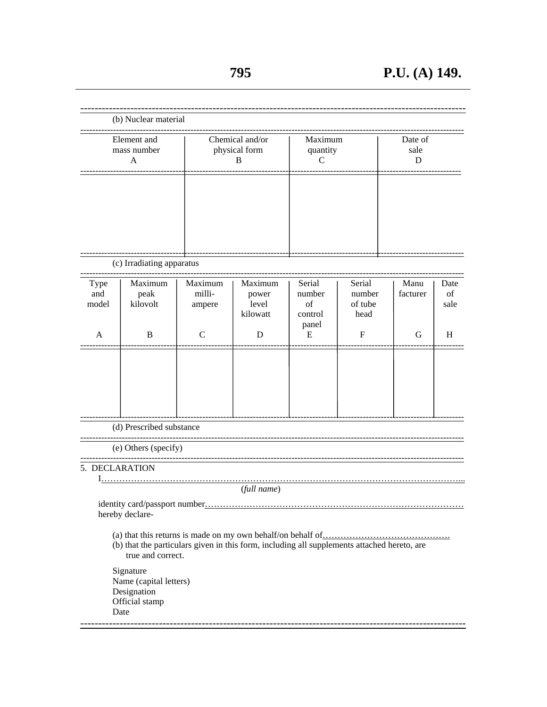|                      | (b) Nuclear material                                                                                             |                                       |                                       |                                            |                                     |                      |                    |
|----------------------|------------------------------------------------------------------------------------------------------------------|---------------------------------------|---------------------------------------|--------------------------------------------|-------------------------------------|----------------------|--------------------|
|                      | Element and<br>mass number<br>A                                                                                  | Chemical and/or<br>physical form<br>В |                                       | Maximum<br>quantity<br>C                   |                                     | Date of<br>sale<br>D |                    |
|                      |                                                                                                                  |                                       |                                       |                                            |                                     |                      |                    |
|                      | (c) Irradiating apparatus                                                                                        |                                       |                                       |                                            |                                     |                      |                    |
| Type<br>and<br>model | Maximum<br>peak<br>kilovolt                                                                                      | Maximum<br>milli-<br>ampere           | Maximum<br>power<br>level<br>kilowatt | Serial<br>number<br>of<br>control<br>panel | Serial<br>number<br>of tube<br>head | Manu<br>facturer     | Date<br>of<br>sale |
| A                    | B                                                                                                                | $\mathcal{C}$                         | D                                     | E                                          | $\mathbf F$                         | $\mathbf G$          | H                  |
|                      | (d) Prescribed substance                                                                                         |                                       |                                       |                                            |                                     |                      |                    |
|                      |                                                                                                                  |                                       |                                       |                                            |                                     |                      |                    |
| 5. DECLARATION       | (e) Others (specify)                                                                                             |                                       |                                       |                                            |                                     |                      |                    |
|                      | identity card/passport number<br>hereby declare-                                                                 |                                       | (full name)                           |                                            |                                     |                      |                    |
|                      | (b) that the particulars given in this form, including all supplements attached hereto, are<br>true and correct. |                                       |                                       |                                            |                                     |                      |                    |
|                      | Signature<br>Name (capital letters)<br>Designation<br>Official stamp<br>Date                                     |                                       |                                       |                                            |                                     |                      |                    |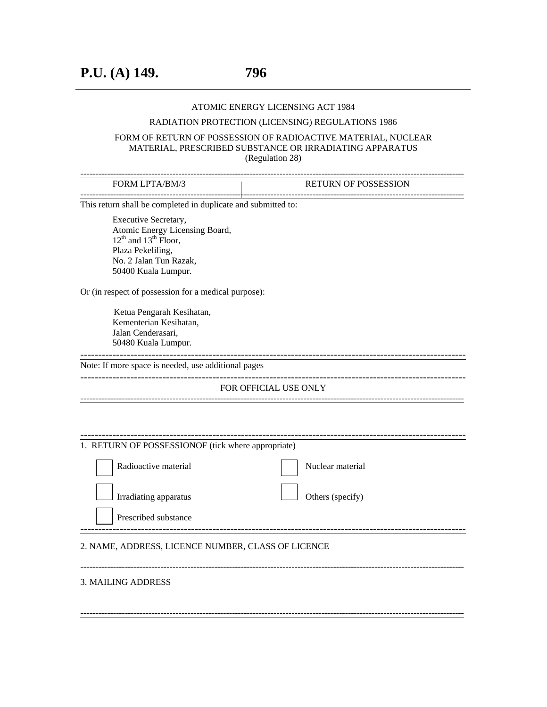#### ATOMIC ENERGY LICENSING ACT 1984

#### RADIATION PROTECTION (LICENSING) REGULATIONS 1986

#### FORM OF RETURN OF POSSESSION OF RADIOACTIVE MATERIAL, NUCLEAR MATERIAL, PRESCRIBED SUBSTANCE OR IRRADIATING APPARATUS (Regulation 28)

| FORM LPTA/BM/3                                                | <b>RETURN OF POSSESSION</b> |  |  |  |  |  |  |
|---------------------------------------------------------------|-----------------------------|--|--|--|--|--|--|
| This return shall be completed in duplicate and submitted to: |                             |  |  |  |  |  |  |
| Executive Secretary,                                          |                             |  |  |  |  |  |  |
| Atomic Energy Licensing Board,                                |                             |  |  |  |  |  |  |
| $12^{th}$ and $13^{th}$ Floor,                                |                             |  |  |  |  |  |  |
| Plaza Pekeliling,<br>No. 2 Jalan Tun Razak,                   |                             |  |  |  |  |  |  |
| 50400 Kuala Lumpur.                                           |                             |  |  |  |  |  |  |
|                                                               |                             |  |  |  |  |  |  |
| Or (in respect of possession for a medical purpose):          |                             |  |  |  |  |  |  |
| Ketua Pengarah Kesihatan,                                     |                             |  |  |  |  |  |  |
| Kementerian Kesihatan,                                        |                             |  |  |  |  |  |  |
|                                                               | Jalan Cenderasari,          |  |  |  |  |  |  |
| 50480 Kuala Lumpur.<br>-----------------                      |                             |  |  |  |  |  |  |
| Note: If more space is needed, use additional pages           |                             |  |  |  |  |  |  |
|                                                               | FOR OFFICIAL USE ONLY       |  |  |  |  |  |  |
|                                                               |                             |  |  |  |  |  |  |
|                                                               |                             |  |  |  |  |  |  |
|                                                               |                             |  |  |  |  |  |  |
|                                                               |                             |  |  |  |  |  |  |
| 1. RETURN OF POSSESSIONOF (tick where appropriate)            |                             |  |  |  |  |  |  |
| Radioactive material                                          | Nuclear material            |  |  |  |  |  |  |
|                                                               |                             |  |  |  |  |  |  |
| Irradiating apparatus                                         | Others (specify)            |  |  |  |  |  |  |
| Prescribed substance                                          |                             |  |  |  |  |  |  |
|                                                               |                             |  |  |  |  |  |  |
| 2. NAME, ADDRESS, LICENCE NUMBER, CLASS OF LICENCE            |                             |  |  |  |  |  |  |
|                                                               |                             |  |  |  |  |  |  |

---------------------------------------------------------------------------------------------------------------------------------

## 3. MAILING ADDRESS

---------------------------------------------------------------------------------------------------------------------------------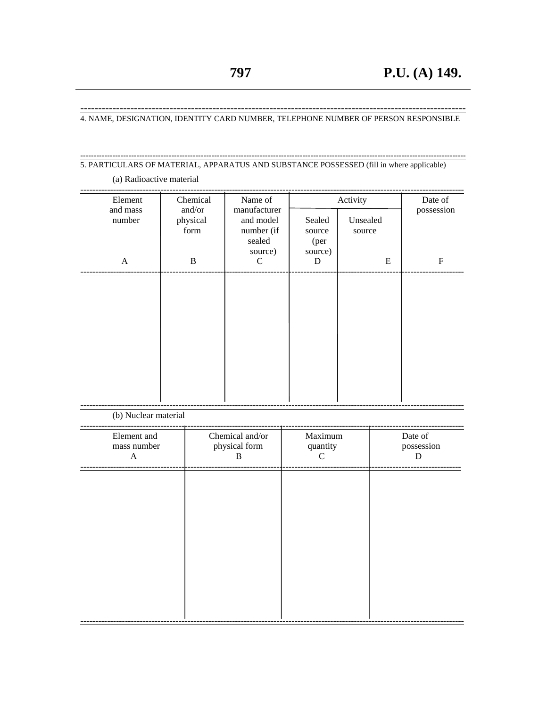(a) Radioactive material

4. NAME, DESIGNATION, IDENTITY CARD NUMBER, TELEPHONE NUMBER OF PERSON RESPONSIBLE

# 5. PARTICULARS OF MATERIAL, APPARATUS AND SUBSTANCE POSSESSED (fill in where applicable)

| Element              | Chemical                   | Name of                                                      |                                     | Activity           | Date of    |
|----------------------|----------------------------|--------------------------------------------------------------|-------------------------------------|--------------------|------------|
| and mass<br>number   | and/or<br>physical<br>form | manufacturer<br>and model<br>number (if<br>sealed<br>source) | Sealed<br>source<br>(per<br>source) | Unsealed<br>source | possession |
| $\mathbf{A}$         | $\, {\bf B}$               | C                                                            | D                                   | E                  | ${\bf F}$  |
|                      |                            |                                                              |                                     |                    |            |
| (b) Nuclear material |                            |                                                              |                                     |                    |            |
| Element and          |                            | Chemical and/or                                              | Maximum                             |                    | Date of    |

physical form mass number quantity possession  $\, {\bf B}$  ${\bf C}$  ${\bf D}$  $\boldsymbol{\mathsf{A}}$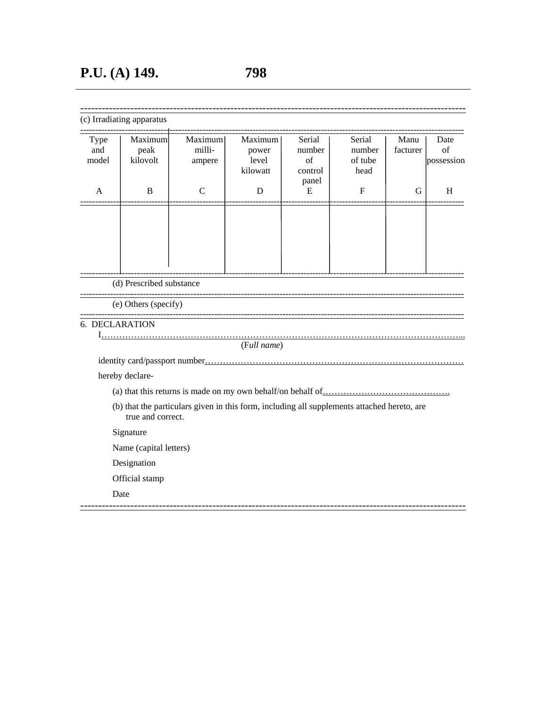| $(\alpha)$ Irra |  |  |
|-----------------|--|--|
|                 |  |  |

| Type<br>and<br>model | Maximum<br>peak<br>kilovolt | Maximum<br>milli-<br>ampere | Maximum<br>power<br>level<br>kilowatt | Serial<br>number<br>of<br>control | Serial<br>number<br>of tube<br>head | Manu<br>facturer | Date<br>of<br>possession |
|----------------------|-----------------------------|-----------------------------|---------------------------------------|-----------------------------------|-------------------------------------|------------------|--------------------------|
| A                    | B                           | C                           | D                                     | panel<br>E                        | $\boldsymbol{F}$                    | G                | H                        |
|                      |                             |                             |                                       |                                   |                                     |                  |                          |
|                      |                             |                             |                                       |                                   |                                     |                  |                          |
|                      |                             |                             |                                       |                                   |                                     |                  |                          |
|                      | (d) Prescribed substance    |                             |                                       |                                   |                                     |                  |                          |

(e) Others (specify)

## 6. DECLARATION

I…………………………………………………………………………………………………………...

------------------------------------------------------------------------------------------------------------

---------------------------------------------------------------------------------------------------------------------------------

(F*ull name*)

identity card/passport number……………………………………………………………………………

hereby declare-

- (a) that this returns is made on my own behalf/on behalf of…………………………………….
- (b) that the particulars given in this form, including all supplements attached hereto, are true and correct.

Signature

Name (capital letters)

Designation

Official stamp

Date